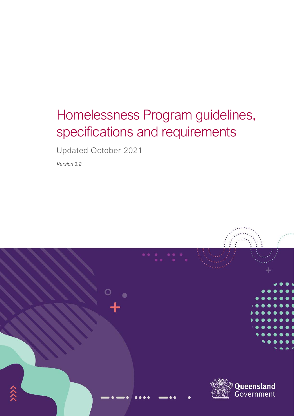# Homelessness Program guidelines, specifications and requirements

Updated October 2021

*Version 3.2*

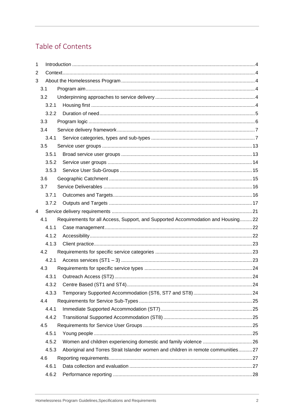# Table of Contents

| 1 |       |                                                                                  |  |  |  |
|---|-------|----------------------------------------------------------------------------------|--|--|--|
| 2 |       |                                                                                  |  |  |  |
| 3 |       |                                                                                  |  |  |  |
|   | 3.1   |                                                                                  |  |  |  |
|   | 3.2   |                                                                                  |  |  |  |
|   | 3.2.1 |                                                                                  |  |  |  |
|   | 3.2.2 |                                                                                  |  |  |  |
|   | 3.3   |                                                                                  |  |  |  |
|   | 3.4   |                                                                                  |  |  |  |
|   | 3.4.1 |                                                                                  |  |  |  |
|   | 3.5   |                                                                                  |  |  |  |
|   | 3.5.1 |                                                                                  |  |  |  |
|   | 3.5.2 |                                                                                  |  |  |  |
|   | 3.5.3 |                                                                                  |  |  |  |
|   | 3.6   |                                                                                  |  |  |  |
|   | 3.7   |                                                                                  |  |  |  |
|   | 3.7.1 |                                                                                  |  |  |  |
|   | 3.7.2 |                                                                                  |  |  |  |
| 4 |       |                                                                                  |  |  |  |
|   | 4.1   | Requirements for all Access, Support, and Supported Accommodation and Housing22  |  |  |  |
|   | 4.1.1 |                                                                                  |  |  |  |
|   | 4.1.2 |                                                                                  |  |  |  |
|   | 4.1.3 |                                                                                  |  |  |  |
|   | 4.2   |                                                                                  |  |  |  |
|   | 4.2.1 |                                                                                  |  |  |  |
|   | 4.3   |                                                                                  |  |  |  |
|   | 4.3.1 |                                                                                  |  |  |  |
|   | 4.3.2 |                                                                                  |  |  |  |
|   | 4.3.3 |                                                                                  |  |  |  |
|   | 4.4   |                                                                                  |  |  |  |
|   | 4.4.1 |                                                                                  |  |  |  |
|   | 4.4.2 |                                                                                  |  |  |  |
|   | 4.5   |                                                                                  |  |  |  |
|   | 4.5.1 |                                                                                  |  |  |  |
|   | 4.5.2 |                                                                                  |  |  |  |
|   | 4.5.3 | Aboriginal and Torres Strait Islander women and children in remote communities27 |  |  |  |
|   | 4.6   |                                                                                  |  |  |  |
|   | 4.6.1 |                                                                                  |  |  |  |
|   | 4.6.2 |                                                                                  |  |  |  |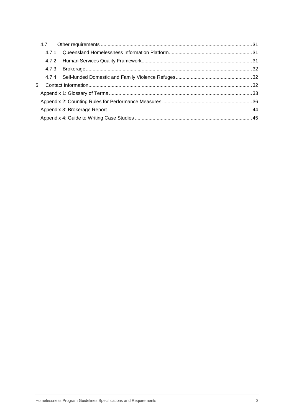|   | 4.7.1 |  |
|---|-------|--|
|   |       |  |
|   |       |  |
|   |       |  |
| 5 |       |  |
|   |       |  |
|   |       |  |
|   |       |  |
|   |       |  |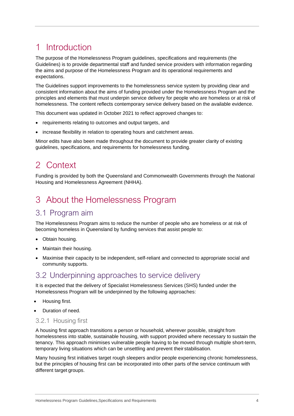# <span id="page-3-0"></span>1 Introduction

The purpose of the Homelessness Program guidelines, specifications and requirements (the Guidelines) is to provide departmental staff and funded service providers with information regarding the aims and purpose of the Homelessness Program and its operational requirements and expectations.

The Guidelines support improvements to the homelessness service system by providing clear and consistent information about the aims of funding provided under the Homelessness Program and the principles and elements that must underpin service delivery for people who are homeless or at risk of homelessness. The content reflects contemporary service delivery based on the available evidence.

This document was updated in October 2021 to reflect approved changes to:

- requirements relating to outcomes and output targets, and
- increase flexibility in relation to operating hours and catchment areas.

Minor edits have also been made throughout the document to provide greater clarity of existing guidelines, specifications, and requirements for homelessness funding.

# <span id="page-3-1"></span>2 Context

Funding is provided by both the Queensland and Commonwealth Governments through the National Housing and Homelessness Agreement (NHHA).

# <span id="page-3-2"></span>3 About the Homelessness Program

# <span id="page-3-3"></span>3.1 Program aim

The Homelessness Program aims to reduce the number of people who are homeless or at risk of becoming homeless in Queensland by funding services that assist people to:

- Obtain housing.
- Maintain their housing.
- Maximise their capacity to be independent, self-reliant and connected to appropriate social and community supports.

# <span id="page-3-4"></span>3.2 Underpinning approaches to service delivery

It is expected that the delivery of Specialist Homelessness Services (SHS) funded under the Homelessness Program will be underpinned by the following approaches:

- Housing first.
- Duration of need.

## <span id="page-3-5"></span>3.2.1 Housing first

A housing first approach transitions a person or household, wherever possible, straight from homelessness into stable, sustainable housing, with support provided where necessary to sustain the tenancy. This approach minimises vulnerable people having to be moved through multiple short-term, temporary living situations which can be unsettling and prevent their stabilisation.

Many housing first initiatives target rough sleepers and/or people experiencing chronic homelessness, but the principles of housing first can be incorporated into other parts of the service continuum with different target groups.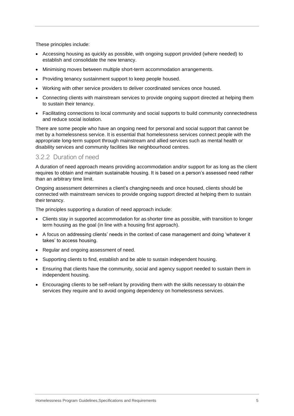These principles include:

- Accessing housing as quickly as possible, with ongoing support provided (where needed) to establish and consolidate the new tenancy.
- Minimising moves between multiple short-term accommodation arrangements.
- Providing tenancy sustainment support to keep people housed.
- Working with other service providers to deliver coordinated services once housed.
- Connecting clients with mainstream services to provide ongoing support directed at helping them to sustain their tenancy.
- Facilitating connections to local community and social supports to build community connectedness and reduce social isolation.

There are some people who have an ongoing need for personal and social support that cannot be met by a homelessness service. It is essential that homelessness services connect people with the appropriate long-term support through mainstream and allied services such as mental health or disability services and community facilities like neighbourhood centres.

### <span id="page-4-0"></span>3.2.2 Duration of need

A duration of need approach means providing accommodation and/or support for as long as the client requires to obtain and maintain sustainable housing. It is based on a person's assessed need rather than an arbitrary time limit.

Ongoing assessment determines a client's changing needs and once housed, clients should be connected with mainstream services to provide ongoing support directed at helping them to sustain their tenancy.

The principles supporting a duration of need approach include:

- Clients stay in supported accommodation for as shorter time as possible, with transition to longer term housing as the goal (in line with a housing first approach).
- A focus on addressing clients' needs in the context of case management and doing 'whatever it takes' to access housing.
- Regular and ongoing assessment of need.
- Supporting clients to find, establish and be able to sustain independent housing.
- Ensuring that clients have the community, social and agency support needed to sustain them in independent housing.
- Encouraging clients to be self-reliant by providing them with the skills necessary to obtain the services they require and to avoid ongoing dependency on homelessness services.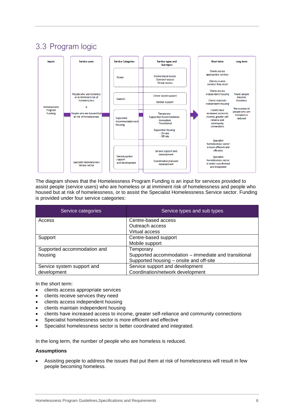# <span id="page-5-0"></span>3.3 Program logic



The diagram shows that the Homelessness Program Funding is an input for services provided to assist people (service users) who are homeless or at imminent risk of homelessness and people who housed but at risk of homelessness, or to assist the Specialist Homelessness Service sector. Funding is provided under four service categories:

| Service categories          | Service types and sub types                          |  |
|-----------------------------|------------------------------------------------------|--|
| Access                      | Centre-based access                                  |  |
|                             | Outreach access                                      |  |
|                             | Virtual access                                       |  |
| Support                     | Centre-based support                                 |  |
|                             | Mobile support                                       |  |
| Supported accommodation and | Temporary                                            |  |
| housing                     | Supported accommodation – immediate and transitional |  |
|                             | Supported housing - onsite and off-site              |  |
| Service system support and  | Service support and development                      |  |
| development                 | Coordination/network development                     |  |

In the short term:

- clients access appropriate services
- clients receive services they need
- clients access independent housing
- clients maintain independent housing
- clients have increased access to income, greater self-reliance and community connections
- Specialist homelessness sector is more efficient and effective
- Specialist homelessness sector is better coordinated and integrated.

In the long term, the number of people who are homeless is reduced.

#### **Assumptions**

• Assisting people to address the issues that put them at risk of homelessness will result in few people becoming homeless.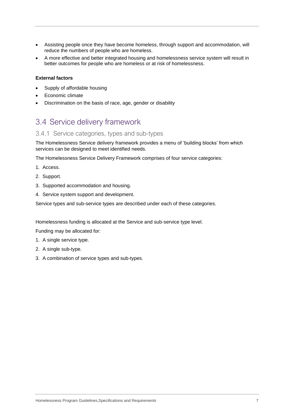- Assisting people once they have become homeless, through support and accommodation, will reduce the numbers of people who are homeless.
- A more effective and better integrated housing and homelessness service system will result in better outcomes for people who are homeless or at risk of homelessness.

#### **External factors**

- Supply of affordable housing
- Economic climate
- Discrimination on the basis of race, age, gender or disability

# <span id="page-6-0"></span>3.4 Service delivery framework

### <span id="page-6-1"></span>3.4.1 Service categories, types and sub-types

The Homelessness Service delivery framework provides a menu of 'building blocks' from which services can be designed to meet identified needs.

The Homelessness Service Delivery Framework comprises of four service categories:

- 1. Access.
- 2. Support.
- 3. Supported accommodation and housing.
- 4. Service system support and development.

Service types and sub-service types are described under each of these categories.

Homelessness funding is allocated at the Service and sub-service type level.

Funding may be allocated for:

- 1. A single service type.
- 2. A single sub-type.
- 3. A combination of service types and sub-types.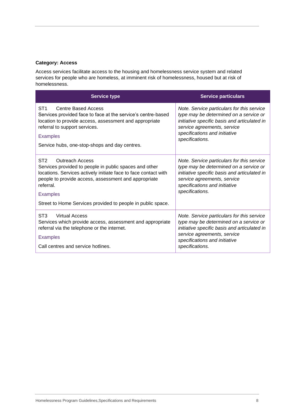### **Category: Access**

Access services facilitate access to the housing and homelessness service system and related services for people who are homeless, at imminent risk of homelessness, housed but at risk of homelessness.

| <b>Service type</b>                                                                                                                                                                                                                                                                                                           | <b>Service particulars</b>                                                                                                                                                                                              |
|-------------------------------------------------------------------------------------------------------------------------------------------------------------------------------------------------------------------------------------------------------------------------------------------------------------------------------|-------------------------------------------------------------------------------------------------------------------------------------------------------------------------------------------------------------------------|
| ST <sub>1</sub><br>Centre Based Access<br>Services provided face to face at the service's centre-based<br>location to provide access, assessment and appropriate<br>referral to support services.<br><b>Examples</b><br>Service hubs, one-stop-shops and day centres.                                                         | Note. Service particulars for this service<br>type may be determined on a service or<br>initiative specific basis and articulated in<br>service agreements, service<br>specifications and initiative<br>specifications. |
| ST <sub>2</sub><br><b>Outreach Access</b><br>Services provided to people in public spaces and other<br>locations. Services actively initiate face to face contact with<br>people to provide access, assessment and appropriate<br>referral.<br><b>Examples</b><br>Street to Home Services provided to people in public space. | Note. Service particulars for this service<br>type may be determined on a service or<br>initiative specific basis and articulated in<br>service agreements, service<br>specifications and initiative<br>specifications. |
| ST <sub>3</sub><br>Virtual Access<br>Services which provide access, assessment and appropriate<br>referral via the telephone or the internet.<br><b>Examples</b><br>Call centres and service hotlines.                                                                                                                        | Note. Service particulars for this service<br>type may be determined on a service or<br>initiative specific basis and articulated in<br>service agreements, service<br>specifications and initiative<br>specifications. |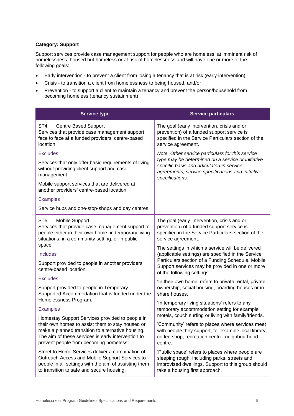#### **Category: Support**

Support services provide case management support for people who are homeless, at imminent risk of homelessness, housed but homeless or at risk of homelessness and will have one or more of the following goals:

- Early intervention to prevent a client from losing a tenancy that is at risk (early intervention)
- Crisis to transition a client from homelessness to being housed, and/or
- Prevention to support a client to maintain a tenancy and prevent the person/household from becoming homeless (tenancy sustainment)

| <b>Service type</b>                                                                                                                                                                                      | <b>Service particulars</b>                                                                                                                                                                                                                    |  |
|----------------------------------------------------------------------------------------------------------------------------------------------------------------------------------------------------------|-----------------------------------------------------------------------------------------------------------------------------------------------------------------------------------------------------------------------------------------------|--|
| ST <sub>4</sub><br><b>Centre Based Support</b><br>Services that provide case management support<br>face to face at a funded providers' centre-based<br>location.                                         | The goal (early intervention, crisis and or<br>prevention) of a funded support service is<br>specified in the Service Particulars section of the<br>service agreement.                                                                        |  |
| <b>Excludes</b><br>Services that only offer basic requirements of living                                                                                                                                 | Note. Other service particulars for this service<br>type may be determined on a service or initiative<br>specific basis and articulated in service<br>agreements, service specifications and initiative<br>specifications.                    |  |
| without providing client support and case<br>management.                                                                                                                                                 |                                                                                                                                                                                                                                               |  |
| Mobile support services that are delivered at<br>another providers' centre-based location.                                                                                                               |                                                                                                                                                                                                                                               |  |
| <b>Examples</b>                                                                                                                                                                                          |                                                                                                                                                                                                                                               |  |
| Service hubs and one-stop-shops and day centres.                                                                                                                                                         |                                                                                                                                                                                                                                               |  |
| Mobile Support<br>ST5<br>Services that provide case management support to<br>people either in their own home, in temporary living<br>situations, in a community setting, or in public                    | The goal (early intervention, crisis and or<br>prevention) of a funded support service is<br>specified in the Service Particulars section of the<br>service agreement.                                                                        |  |
| space.<br><b>Includes</b>                                                                                                                                                                                | The settings in which a service will be delivered<br>(applicable settings) are specified in the Service<br>Particulars section of a Funding Schedule. Mobile<br>Support services may be provided in one or more<br>of the following settings: |  |
| Support provided to people in another providers'<br>centre-based location.                                                                                                                               |                                                                                                                                                                                                                                               |  |
| <b>Excludes</b>                                                                                                                                                                                          | 'In their own home' refers to private rental, private                                                                                                                                                                                         |  |
| Support provided to people in Temporary<br>Supported Accommodation that is funded under the                                                                                                              | ownership, social housing, boarding houses or in<br>share houses.                                                                                                                                                                             |  |
| Homelessness Program.<br><b>Examples</b>                                                                                                                                                                 | 'In temporary living situations' refers to any<br>temporary accommodation setting for example                                                                                                                                                 |  |
| Homestay Support Services provided to people in                                                                                                                                                          | motels, couch surfing or living with family/friends.                                                                                                                                                                                          |  |
| their own homes to assist them to stay housed or<br>make a planned transition to alternative housing.<br>The aim of these services is early intervention to<br>prevent people from becoming homeless.    | 'Community' refers to places where services meet<br>with people they support, for example local library,<br>coffee shop, recreation centre, neighbourhood<br>centre.                                                                          |  |
| Street to Home Services deliver a combination of<br>Outreach Access and Mobile Support Services to<br>people in all settings with the aim of assisting them<br>to transition to safe and secure housing. | 'Public space' refers to places where people are<br>sleeping rough, including parks, streets and<br>improvised dwellings. Support to this group should<br>take a housing first approach.                                                      |  |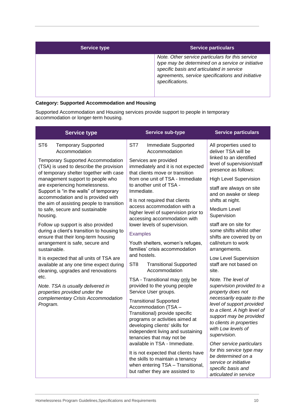| <b>Service type</b> | <b>Service particulars</b>                                                                                                                                                                                                 |
|---------------------|----------------------------------------------------------------------------------------------------------------------------------------------------------------------------------------------------------------------------|
|                     | Note. Other service particulars for this service<br>type may be determined on a service or initiative<br>specific basis and articulated in service<br>agreements, service specifications and initiative<br>specifications. |

### **Category: Supported Accommodation and Housing**

Supported Accommodation and Housing services provide support to people in temporary accommodation or longer-term housing.

| <b>Service type</b>                                                                                                     | <b>Service sub-type</b>                                                                                                                                                                                                        | <b>Service particulars</b>                                                                                                                                                          |
|-------------------------------------------------------------------------------------------------------------------------|--------------------------------------------------------------------------------------------------------------------------------------------------------------------------------------------------------------------------------|-------------------------------------------------------------------------------------------------------------------------------------------------------------------------------------|
| ST <sub>6</sub><br><b>Temporary Supported</b><br>Accommodation                                                          | ST7<br>Immediate Supported<br>Accommodation                                                                                                                                                                                    | All properties used to<br>deliver TSA will be                                                                                                                                       |
| Temporary Supported Accommodation<br>(TSA) is used to describe the provision<br>of temporary shelter together with case | Services are provided<br>immediately and it is not expected<br>that clients move or transition                                                                                                                                 | linked to an identified<br>level of supervision/staff<br>presence as follows:                                                                                                       |
| management support to people who                                                                                        | from one unit of TSA - Immediate                                                                                                                                                                                               | <b>High Level Supervision</b>                                                                                                                                                       |
| are experiencing homelessness.<br>Support is "in the walls" of temporary                                                | to another unit of TSA -<br>Immediate.                                                                                                                                                                                         | staff are always on site<br>and on awake or sleep                                                                                                                                   |
| accommodation and is provided with<br>the aim of assisting people to transition                                         | It is not required that clients<br>access accommodation with a                                                                                                                                                                 | shifts at night.                                                                                                                                                                    |
| to safe, secure and sustainable<br>housing.                                                                             | higher level of supervision prior to<br>accessing accommodation with                                                                                                                                                           | <b>Medium Level</b><br>Supervision                                                                                                                                                  |
| Follow up support is also provided<br>during a client's transition to housing to                                        | lower levels of supervision.                                                                                                                                                                                                   | staff are on site for<br>some shifts whilst other                                                                                                                                   |
| ensure that their long-term housing                                                                                     | <b>Examples</b>                                                                                                                                                                                                                | shifts are covered by on<br>call/return to work<br>arrangements.                                                                                                                    |
| arrangement is safe, secure and<br>sustainable.                                                                         | Youth shelters, women's refuges,<br>families' crisis accommodation                                                                                                                                                             |                                                                                                                                                                                     |
| It is expected that all units of TSA are                                                                                | and hostels.                                                                                                                                                                                                                   | Low Level Supervision                                                                                                                                                               |
| available at any one time expect during<br>cleaning, upgrades and renovations                                           | ST <sub>8</sub><br><b>Transitional Supported</b><br>Accommodation                                                                                                                                                              | staff are not based on<br>site.                                                                                                                                                     |
| etc.                                                                                                                    | TSA - Transitional may only be                                                                                                                                                                                                 | Note. The level of                                                                                                                                                                  |
| Note. TSA is usually delivered in<br>properties provided under the                                                      | provided to the young people<br>Service User groups.                                                                                                                                                                           | supervision provided to a<br>property does not                                                                                                                                      |
| complementary Crisis Accommodation<br>Program.                                                                          | <b>Transitional Supported</b><br>Accommodation (TSA -<br>Transitional) provide specific<br>programs or activities aimed at<br>developing clients' skills for<br>independent living and sustaining<br>tenancies that may not be | necessarily equate to the<br>level of support provided<br>to a client. A high level of<br>support may be provided<br>to clients in properties<br>with Low levels of<br>supervision. |
|                                                                                                                         | available in TSA - Immediate.                                                                                                                                                                                                  | Oher service particulars<br>for this service type may                                                                                                                               |
|                                                                                                                         | It is not expected that clients have<br>the skills to maintain a tenancy                                                                                                                                                       | be determined on a<br>service or initiative                                                                                                                                         |
|                                                                                                                         | when entering TSA - Transitional,<br>but rather they are assisted to                                                                                                                                                           | specific basis and<br>articulated in service                                                                                                                                        |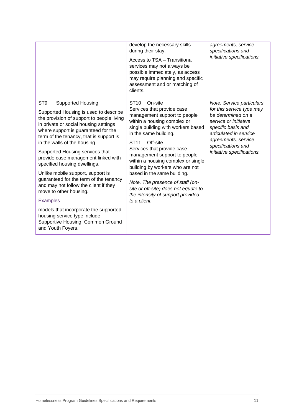|                                                                                                                                                                                                                                                                                                                                                                                                                                                                                                                                                                                                                                                                                                                | develop the necessary skills<br>during their stay.<br>Access to TSA - Transitional<br>services may not always be<br>possible immediately, as access<br>may require planning and specific<br>assessment and or matching of<br>clients.                                                                                                                                                                                                                                                                                     | agreements, service<br>specifications and<br>initiative specifications.                                                                                                                                                          |
|----------------------------------------------------------------------------------------------------------------------------------------------------------------------------------------------------------------------------------------------------------------------------------------------------------------------------------------------------------------------------------------------------------------------------------------------------------------------------------------------------------------------------------------------------------------------------------------------------------------------------------------------------------------------------------------------------------------|---------------------------------------------------------------------------------------------------------------------------------------------------------------------------------------------------------------------------------------------------------------------------------------------------------------------------------------------------------------------------------------------------------------------------------------------------------------------------------------------------------------------------|----------------------------------------------------------------------------------------------------------------------------------------------------------------------------------------------------------------------------------|
| ST <sub>9</sub><br><b>Supported Housing</b><br>Supported Housing is used to describe<br>the provision of support to people living<br>in private or social housing settings<br>where support is guaranteed for the<br>term of the tenancy, that is support is<br>in the walls of the housing.<br>Supported Housing services that<br>provide case management linked with<br>specified housing dwellings.<br>Unlike mobile support, support is<br>guaranteed for the term of the tenancy<br>and may not follow the client if they<br>move to other housing.<br><b>Examples</b><br>models that incorporate the supported<br>housing service type include<br>Supportive Housing, Common Ground<br>and Youth Foyers. | ST <sub>10</sub><br>On-site<br>Services that provide case<br>management support to people<br>within a housing complex or<br>single building with workers based<br>in the same building.<br><b>ST11</b><br>Off-site<br>Services that provide case<br>management support to people<br>within a housing complex or single<br>building by workers who are not<br>based in the same building.<br>Note. The presence of staff (on-<br>site or off-site) does not equate to<br>the intensity of support provided<br>to a client. | Note. Service particulars<br>for this service type may<br>be determined on a<br>service or initiative<br>specific basis and<br>articulated in service<br>agreements, service<br>specifications and<br>initiative specifications. |
|                                                                                                                                                                                                                                                                                                                                                                                                                                                                                                                                                                                                                                                                                                                |                                                                                                                                                                                                                                                                                                                                                                                                                                                                                                                           |                                                                                                                                                                                                                                  |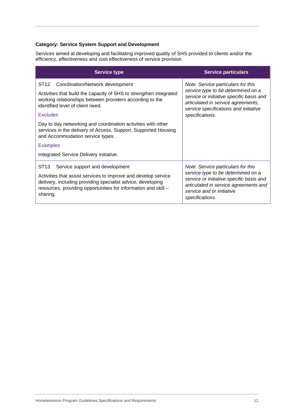### **Category: Service System Support and Development**

Services aimed at developing and facilitating improved quality of SHS provided to clients and/or the efficiency, effectiveness and cost effectiveness of service provision.

| <b>Service type</b>                                                                                                                                                                                                                                                | <b>Service particulars</b>                                                                                                                                                                                    |
|--------------------------------------------------------------------------------------------------------------------------------------------------------------------------------------------------------------------------------------------------------------------|---------------------------------------------------------------------------------------------------------------------------------------------------------------------------------------------------------------|
| ST <sub>12</sub><br>Coordination/Network development                                                                                                                                                                                                               | Note. Service particulars for this                                                                                                                                                                            |
| Activities that build the capacity of SHS to strengthen integrated<br>working relationships between providers according to the<br>identified level of client need.                                                                                                 | service type to be determined on a<br>service or initiative specific basis and<br>articulated in service agreements,<br>service specifications and initiative                                                 |
| Excludes                                                                                                                                                                                                                                                           | specifications.                                                                                                                                                                                               |
| Day to day networking and coordination activities with other<br>services in the delivery of Access, Support, Supported Housing<br>and Accommodation service types.                                                                                                 |                                                                                                                                                                                                               |
| <b>Examples</b>                                                                                                                                                                                                                                                    |                                                                                                                                                                                                               |
| Integrated Service Delivery initiative.                                                                                                                                                                                                                            |                                                                                                                                                                                                               |
| ST <sub>13</sub><br>Service support and development<br>Activities that assist services to improve and develop service<br>delivery, including providing specialist advice, developing<br>resources, providing opportunities for information and skill -<br>sharing. | Note. Service particulars for this<br>service type to be determined on a<br>service or initiative specific basis and<br>articulated in service agreements and<br>service and or initiative<br>specifications. |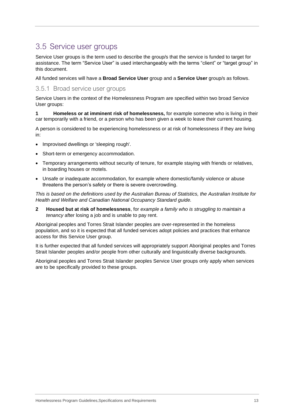# <span id="page-12-0"></span>3.5 Service user groups

Service User groups is the term used to describe the group/s that the service is funded to target for assistance. The term "Service User" is used interchangeably with the terms "client" or "target group" in this document.

All funded services will have a **Broad Service User** group and a **Service User** group/s as follows.

### <span id="page-12-1"></span>3.5.1 Broad service user groups

Service Users in the context of the Homelessness Program are specified within two broad Service User groups:

**1 Homeless or at imminent risk of homelessness,** for example someone who is living in their car temporarily with a friend, or a person who has been given a week to leave their current housing.

A person is considered to be experiencing homelessness or at risk of homelessness if they are living in:

- Improvised dwellings or 'sleeping rough'.
- Short-term or emergency accommodation.
- Temporary arrangements without security of tenure, for example staying with friends or relatives, in boarding houses or motels.
- Unsafe or inadequate accommodation, for example where domestic/family violence or abuse threatens the person's safety or there is severe overcrowding.

*This is based on the definitions used by the Australian Bureau of Statistics, the Australian Institute for Health and Welfare and Canadian National Occupancy Standard guide.*

**2 Housed but at risk of homelessness**, for *example a family who is struggling to maintain a tenancy* after losing a job and is unable to pay rent.

Aboriginal peoples and Torres Strait Islander peoples are over-represented in the homeless population, and so it is expected that all funded services adopt policies and practices that enhance access for this Service User group.

It is further expected that all funded services will appropriately support Aboriginal peoples and Torres Strait Islander peoples and/or people from other culturally and linguistically diverse backgrounds.

Aboriginal peoples and Torres Strait Islander peoples Service User groups only apply when services are to be specifically provided to these groups.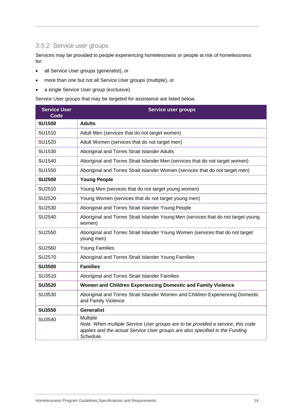# <span id="page-13-0"></span>3.5.2 Service user groups

Services may be provided to people experiencing homelessness or people at risk of homelessness for:

- all Service User groups (generalist), or
- more than one but not all Service User groups (multiple), or
- a single Service User group (exclusive).

Service User groups that may be targeted for assistance are listed below.

| <b>Service User</b><br>Code | Service user groups                                                                                                                                                                      |  |  |
|-----------------------------|------------------------------------------------------------------------------------------------------------------------------------------------------------------------------------------|--|--|
| <b>SU1500</b>               | <b>Adults</b>                                                                                                                                                                            |  |  |
| SU1510                      | Adult Men (services that do not target women)                                                                                                                                            |  |  |
| SU1520                      | Adult Women (services that do not target men)                                                                                                                                            |  |  |
| SU1530                      | Aboriginal and Torres Strait Islander Adults                                                                                                                                             |  |  |
| SU1540                      | Aboriginal and Torres Strait Islander Men (services that do not target women)                                                                                                            |  |  |
| SU1550                      | Aboriginal and Torres Strait Islander Women (services that do not target men)                                                                                                            |  |  |
| <b>SU2500</b>               | <b>Young People</b>                                                                                                                                                                      |  |  |
| SU2510                      | Young Men (services that do not target young women)                                                                                                                                      |  |  |
| SU2520                      | Young Women (services that do not target young men)                                                                                                                                      |  |  |
| SU2530                      | Aboriginal and Torres Strait Islander Young People                                                                                                                                       |  |  |
| SU2540                      | Aboriginal and Torres Strait Islander Young Men (services that do not target young<br>women)                                                                                             |  |  |
| SU2550                      | Aboriginal and Torres Strait Islander Young Women (services that do not target<br>young men)                                                                                             |  |  |
| SU2560                      | <b>Young Families</b>                                                                                                                                                                    |  |  |
| SU2570                      | Aboriginal and Torres Strait Islander Young Families                                                                                                                                     |  |  |
| <b>SU3500</b>               | <b>Families</b>                                                                                                                                                                          |  |  |
| SU3510                      | Aboriginal and Torres Strait Islander Families                                                                                                                                           |  |  |
| <b>SU3520</b>               | Women and Children Experiencing Domestic and Family Violence                                                                                                                             |  |  |
| SU3530                      | Aboriginal and Torres Strait Islander Women and Children Experiencing Domestic<br>and Family Violence                                                                                    |  |  |
| <b>SU3550</b>               | <b>Generalist</b>                                                                                                                                                                        |  |  |
| SU3540                      | Multiple<br>Note. When multiple Service User groups are to be provided a service, this code<br>applies and the actual Service User groups are also specified in the Funding<br>Schedule. |  |  |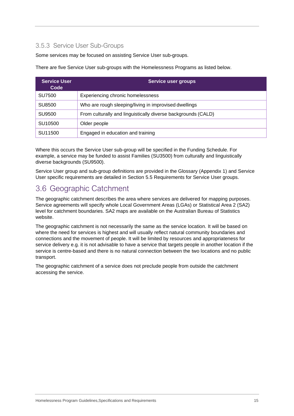# <span id="page-14-0"></span>3.5.3 Service User Sub-Groups

Some services may be focused on assisting Service User sub-groups.

There are five Service User sub-groups with the Homelessness Programs as listed below.

| Service User<br>Code | Service user groups                                           |  |  |
|----------------------|---------------------------------------------------------------|--|--|
| SU7500               | Experiencing chronic homelessness                             |  |  |
| SU8500               | Who are rough sleeping/living in improvised dwellings         |  |  |
| SU9500               | From culturally and linguistically diverse backgrounds (CALD) |  |  |
| SU <sub>10500</sub>  | Older people                                                  |  |  |
| SU11500              | Engaged in education and training                             |  |  |

Where this occurs the Service User sub-group will be specified in the Funding Schedule. For example, a service may be funded to assist Families (SU3500) from culturally and linguistically diverse backgrounds (SU9500).

Service User group and sub-group definitions are provided in the Glossary (Appendix 1) and Service User specific requirements are detailed in Section 5.5 Requirements for Service User groups.

# <span id="page-14-1"></span>3.6 Geographic Catchment

The geographic catchment describes the area where services are delivered for mapping purposes. Service agreements will specify whole Local Government Areas (LGAs) or Statistical Area 2 (SA2) level for catchment boundaries. SA2 maps are available on the Australian Bureau of Statistics website.

The geographic catchment is not necessarily the same as the service location. It will be based on where the need for services is highest and will usually reflect natural community boundaries and connections and the movement of people. It will be limited by resources and appropriateness for service delivery e.g. it is not advisable to have a service that targets people in another location if the service is centre-based and there is no natural connection between the two locations and no public transport.

The geographic catchment of a service does not preclude people from outside the catchment accessing the service.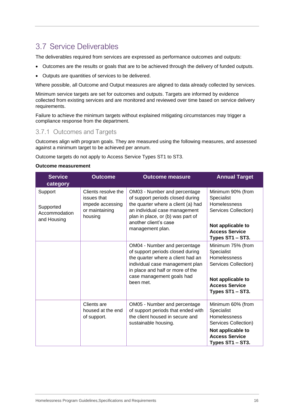# <span id="page-15-0"></span>3.7 Service Deliverables

The deliverables required from services are expressed as performance outcomes and outputs:

- Outcomes are the results or goals that are to be achieved through the delivery of funded outputs.
- Outputs are quantities of services to be delivered.

Where possible, all Outcome and Output measures are aligned to data already collected by services.

Minimum service targets are set for outcomes and outputs. Targets are informed by evidence collected from existing services and are monitored and reviewed over time based on service delivery requirements.

Failure to achieve the minimum targets without explained mitigating circumstances may trigger a compliance response from the department.

# <span id="page-15-1"></span>3.7.1 Outcomes and Targets

Outcomes align with program goals. They are measured using the following measures, and assessed against a minimum target to be achieved per annum.

Outcome targets do not apply to Access Service Types ST1 to ST3.

#### **Outcome measurement**

| <b>Service</b><br>category                           | <b>Outcome</b>                                                                      | <b>Outcome measure</b>                                                                                                                                                                                                    | <b>Annual Target</b>                                                                                                                      |
|------------------------------------------------------|-------------------------------------------------------------------------------------|---------------------------------------------------------------------------------------------------------------------------------------------------------------------------------------------------------------------------|-------------------------------------------------------------------------------------------------------------------------------------------|
| Support<br>Supported<br>Accommodation<br>and Housing | Clients resolve the<br>issues that<br>impede accessing<br>or maintaining<br>housing | OM03 - Number and percentage<br>of support periods closed during<br>the quarter where a client (a) had<br>an individual case management<br>plan in place, or (b) was part of<br>another client's case<br>management plan. | Minimum 90% (from<br>Specialist<br>Homelessness<br>Services Collection)<br>Not applicable to<br><b>Access Service</b><br>Types ST1 - ST3. |
|                                                      |                                                                                     | OM04 - Number and percentage<br>of support periods closed during<br>the quarter where a client had an<br>individual case management plan<br>in place and half or more of the<br>case management goals had<br>been met.    | Minimum 75% (from<br>Specialist<br>Homelessness<br>Services Collection)<br>Not applicable to<br><b>Access Service</b><br>Types ST1 - ST3. |
|                                                      | Clients are<br>housed at the end<br>of support.                                     | OM05 - Number and percentage<br>of support periods that ended with<br>the client housed in secure and<br>sustainable housing.                                                                                             | Minimum 60% (from<br>Specialist<br>Homelessness<br>Services Collection)<br>Not applicable to<br><b>Access Service</b><br>Types ST1 - ST3. |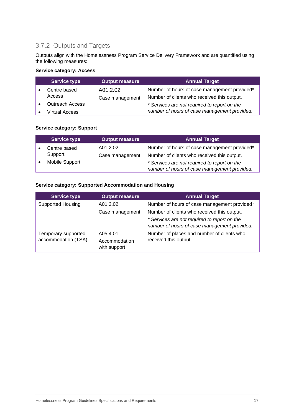# <span id="page-16-0"></span>3.7.2 Outputs and Targets

Outputs align with the Homelessness Program Service Delivery Framework and are quantified using the following measures:

### **Service category: Access**

| <b>Service type</b>    | <b>Output measure</b> | <b>Annual Target</b>                         |
|------------------------|-----------------------|----------------------------------------------|
| Centre based           | A01.2.02              | Number of hours of case management provided* |
| Access                 | Case management       | Number of clients who received this output.  |
| <b>Outreach Access</b> |                       | * Services are not required to report on the |
| <b>Virtual Access</b>  |                       | number of hours of case management provided. |

### **Service category: Support**

|                | <b>Service type</b> | <b>Output measure</b>                        | <b>Annual Target</b>                         |
|----------------|---------------------|----------------------------------------------|----------------------------------------------|
|                | Centre based        | A01.2.02                                     | Number of hours of case management provided* |
|                | Support             | Case management                              | Number of clients who received this output.  |
| Mobile Support |                     | * Services are not required to report on the |                                              |
|                |                     |                                              | number of hours of case management provided. |

#### **Service category: Supported Accommodation and Housing**

| <b>Service type</b>                        | <b>Output measure</b>                     | <b>Annual Target</b>                                                                         |
|--------------------------------------------|-------------------------------------------|----------------------------------------------------------------------------------------------|
| <b>Supported Housing</b>                   | A01.2.02                                  | Number of hours of case management provided*                                                 |
|                                            | Case management                           | Number of clients who received this output.                                                  |
|                                            |                                           | * Services are not required to report on the<br>number of hours of case management provided. |
| Temporary supported<br>accommodation (TSA) | A05.4.01<br>Accommodation<br>with support | Number of places and number of clients who<br>received this output.                          |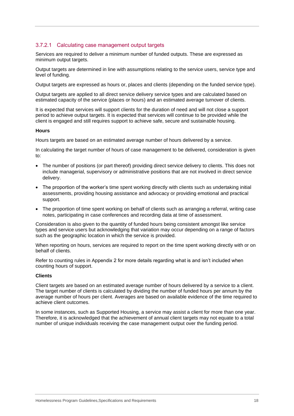### 3.7.2.1 Calculating case management output targets

Services are required to deliver a minimum number of funded outputs. These are expressed as minimum output targets.

Output targets are determined in line with assumptions relating to the service users, service type and level of funding.

Output targets are expressed as hours or, places and clients (depending on the funded service type).

Output targets are applied to all direct service delivery service types and are calculated based on estimated capacity of the service (places or hours) and an estimated average turnover of clients.

It is expected that services will support clients for the duration of need and will not close a support period to achieve output targets. It is expected that services will continue to be provided while the client is engaged and still requires support to achieve safe, secure and sustainable housing.

#### **Hours**

Hours targets are based on an estimated average number of hours delivered by a service.

In calculating the target number of hours of case management to be delivered, consideration is given to:

- The number of positions (or part thereof) providing direct service delivery to clients. This does not include managerial, supervisory or administrative positions that are not involved in direct service delivery.
- The proportion of the worker's time spent working directly with clients such as undertaking initial assessments, providing housing assistance and advocacy or providing emotional and practical support.
- The proportion of time spent working on behalf of clients such as arranging a referral, writing case notes, participating in case conferences and recording data at time of assessment.

Consideration is also given to the quantity of funded hours being consistent amongst like service types and service users but acknowledging that variation may occur depending on a range of factors such as the geographic location in which the service is provided.

When reporting on hours, services are required to report on the time spent working directly with or on behalf of clients.

Refer to counting rules in Appendix 2 for more details regarding what is and isn't included when counting hours of support.

#### **Clients**

Client targets are based on an estimated average number of hours delivered by a service to a client. The target number of clients is calculated by dividing the number of funded hours per annum by the average number of hours per client. Averages are based on available evidence of the time required to achieve client outcomes.

In some instances, such as Supported Housing, a service may assist a client for more than one year. Therefore, it is acknowledged that the achievement of annual client targets may not equate to a total number of unique individuals receiving the case management output over the funding period.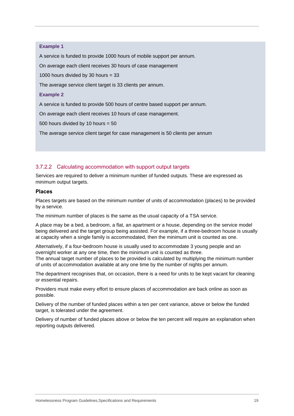#### **Example 1**

A service is funded to provide 1000 hours of mobile support per annum.

On average each client receives 30 hours of case management

1000 hours divided by 30 hours  $=$  33

The average service client target is 33 clients per annum.

#### **Example 2**

A service is funded to provide 500 hours of centre based support per annum.

On average each client receives 10 hours of case management.

500 hours divided by 10 hours = 50

The average service client target for case management is 50 clients per annum

#### 3.7.2.2 Calculating accommodation with support output targets

Services are required to deliver a minimum number of funded outputs. These are expressed as minimum output targets.

#### **Places**

Places targets are based on the minimum number of units of accommodation (places) to be provided by a service.

The minimum number of places is the same as the usual capacity of a TSA service.

A place may be a bed, a bedroom, a flat, an apartment or a house, depending on the service model being delivered and the target group being assisted. For example, if a three-bedroom house is usually at capacity when a single family is accommodated, then the minimum unit is counted as one.

Alternatively, if a four-bedroom house is usually used to accommodate 3 young people and an overnight worker at any one time, then the minimum unit is counted as three. The annual target number of places to be provided is calculated by multiplying the minimum number of units of accommodation available at any one time by the number of nights per annum.

The department recognises that, on occasion, there is a need for units to be kept vacant for cleaning or essential repairs.

Providers must make every effort to ensure places of accommodation are back online as soon as possible.

Delivery of the number of funded places within a ten per cent variance, above or below the funded target, is tolerated under the agreement.

Delivery of number of funded places above or below the ten percent will require an explanation when reporting outputs delivered.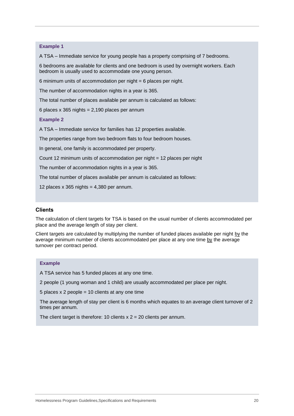#### **Example 1**

A TSA – Immediate service for young people has a property comprising of 7 bedrooms.

6 bedrooms are available for clients and one bedroom is used by overnight workers. Each bedroom is usually used to accommodate one young person.

6 minimum units of accommodation per night = 6 places per night.

The number of accommodation nights in a year is 365.

The total number of places available per annum is calculated as follows:

6 places x 365 nights =  $2,190$  places per annum

#### **Example 2**

A TSA – Immediate service for families has 12 properties available.

The properties range from two bedroom flats to four bedroom houses.

In general, one family is accommodated per property.

Count 12 minimum units of accommodation per night = 12 places per night

The number of accommodation nights in a year is 365.

The total number of places available per annum is calculated as follows:

12 places  $x$  365 nights = 4,380 per annum.

#### **Clients**

The calculation of client targets for TSA is based on the usual number of clients accommodated per place and the average length of stay per client.

Client targets are calculated by multiplying the number of funded places available per night by the average minimum number of clients accommodated per place at any one time by the average turnover per contract period.

#### **Example**

A TSA service has 5 funded places at any one time.

2 people (1 young woman and 1 child) are usually accommodated per place per night.

5 places  $x$  2 people = 10 clients at any one time

The average length of stay per client is 6 months which equates to an average client turnover of 2 times per annum.

The client target is therefore: 10 clients  $x$  2 = 20 clients per annum.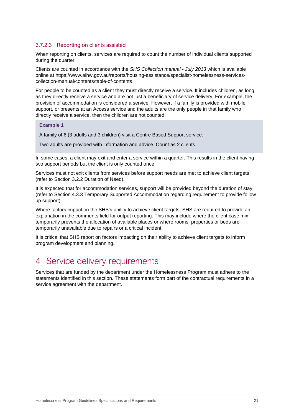### 3.7.2.3 Reporting on clients assisted

When reporting on clients, services are required to count the number of individual clients supported during the quarter.

Clients are counted in accordance with the *SHS Collection manual - July 2013* which is available online at [https://www.aihw.gov.au/reports/housing-assistance/specialist-homelessness-services](https://www.aihw.gov.au/reports/housing-assistance/specialist-homelessness-services-collection-manual/contents/table-of-contents)[collection-manual/contents/table-of-contents](https://www.aihw.gov.au/reports/housing-assistance/specialist-homelessness-services-collection-manual/contents/table-of-contents)

For people to be counted as a client they must directly receive a service. It includes children, as long as they directly receive a service and are not just a beneficiary of service delivery. For example, the provision of accommodation is considered a service. However, if a family is provided with mobile support, or presents at an Access service and the adults are the only people in that family who directly receive a service, then the children are not counted.

#### **Example 1**

A family of 6 (3 adults and 3 children) visit a Centre Based Support service.

Two adults are provided with information and advice. Count as 2 clients.

In some cases, a client may exit and enter a service within a quarter. This results in the client having two support periods but the client is only counted once.

Services must not exit clients from services before support needs are met to achieve client targets (refer to Section 3.2.2 Duration of Need).

It is expected that for accommodation services, support will be provided beyond the duration of stay (refer to Section 4.3.3 Temporary Supported Accommodation regarding requirement to provide follow up support).

Where factors impact on the SHS's ability to achieve client targets, SHS are required to provide an explanation in the comments field for output reporting. This may include where the client case mix temporarily prevents the allocation of available places or where rooms, properties or beds are temporarily unavailable due to repairs or a critical incident.

It is critical that SHS report on factors impacting on their ability to achieve client targets to inform program development and planning.

# <span id="page-20-0"></span>4 Service delivery requirements

Services that are funded by the department under the Homelessness Program must adhere to the statements identified in this section. These statements form part of the contractual requirements in a service agreement with the department.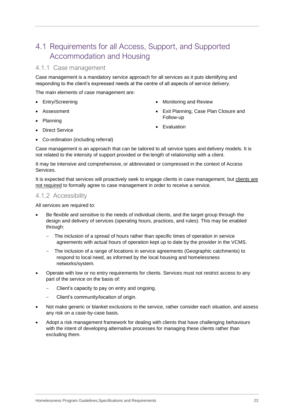# <span id="page-21-0"></span>4.1 Requirements for all Access, Support, and Supported Accommodation and Housing

### <span id="page-21-1"></span>4.1.1 Case management

Case management is a mandatory service approach for all services as it puts identifying and responding to the client's expressed needs at the centre of all aspects of service delivery.

The main elements of case management are:

- Entry/Screening
- Assessment
- Planning
	-
- **Direct Service**
- Monitoring and Review
- Exit Planning, Case Plan Closure and Follow-up
- **Evaluation**
- Co-ordination (including referral)

Case management is an approach that can be tailored to all service types and delivery models. It is not related to the intensity of support provided or the length of relationship with a client.

It may be intensive and comprehensive, or abbreviated or compressed in the context of Access Services.

It is expected that services will proactively seek to engage clients in case management, but clients are not required to formally agree to case management in order to receive a service.

#### <span id="page-21-2"></span>4.1.2 Accessibility

All services are required to:

- Be flexible and sensitive to the needs of individual clients, and the target group through the design and delivery of services (operating hours, practices, and rules). This may be enabled through:
	- The inclusion of a spread of hours rather than specific times of operation in service agreements with actual hours of operation kept up to date by the provider in the VCMS.
	- The inclusion of a range of locations in service agreements (Geographic catchments) to respond to local need, as informed by the local housing and homelessness networks/system.
- Operate with low or no entry requirements for clients. Services must not restrict access to any part of the service on the basis of:
	- Client's capacity to pay on entry and ongoing.
	- Client's community/location of origin.
- Not make generic or blanket exclusions to the service, rather consider each situation, and assess any risk on a case-by-case basis.
- Adopt a risk management framework for dealing with clients that have challenging behaviours with the intent of developing alternative processes for managing these clients rather than excluding them.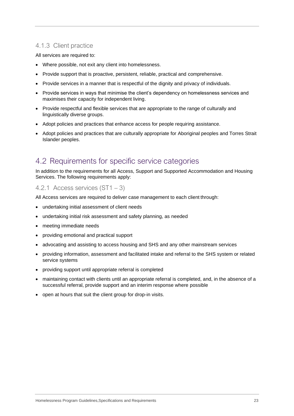# <span id="page-22-0"></span>4.1.3 Client practice

All services are required to:

- Where possible, not exit any client into homelessness.
- Provide support that is proactive, persistent, reliable, practical and comprehensive.
- Provide services in a manner that is respectful of the dignity and privacy of individuals.
- Provide services in ways that minimise the client's dependency on homelessness services and maximises their capacity for independent living.
- Provide respectful and flexible services that are appropriate to the range of culturally and linguistically diverse groups.
- Adopt policies and practices that enhance access for people requiring assistance.
- Adopt policies and practices that are culturally appropriate for Aboriginal peoples and Torres Strait Islander peoples.

# <span id="page-22-1"></span>4.2 Requirements for specific service categories

In addition to the requirements for all Access, Support and Supported Accommodation and Housing Services. The following requirements apply:

# <span id="page-22-2"></span>4.2.1 Access services (ST1 – 3)

All Access services are required to deliver case management to each client through:

- undertaking initial assessment of client needs
- undertaking initial risk assessment and safety planning, as needed
- meeting immediate needs
- providing emotional and practical support
- advocating and assisting to access housing and SHS and any other mainstream services
- providing information, assessment and facilitated intake and referral to the SHS system or related service systems
- providing support until appropriate referral is completed
- maintaining contact with clients until an appropriate referral is completed, and, in the absence of a successful referral, provide support and an interim response where possible
- open at hours that suit the client group for drop-in visits.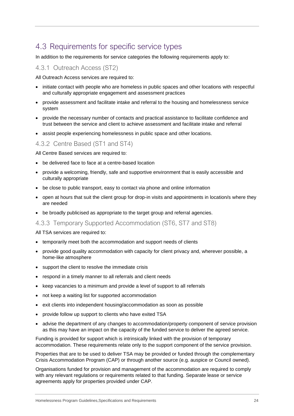# <span id="page-23-0"></span>4.3 Requirements for specific service types

In addition to the requirements for service categories the following requirements apply to:

### <span id="page-23-1"></span>4.3.1 Outreach Access (ST2)

All Outreach Access services are required to:

- initiate contact with people who are homeless in public spaces and other locations with respectful and culturally appropriate engagement and assessment practices
- provide assessment and facilitate intake and referral to the housing and homelessness service system
- provide the necessary number of contacts and practical assistance to facilitate confidence and trust between the service and client to achieve assessment and facilitate intake and referral
- assist people experiencing homelessness in public space and other locations.

### <span id="page-23-2"></span>4.3.2 Centre Based (ST1 and ST4)

All Centre Based services are required to:

- be delivered face to face at a centre-based location
- provide a welcoming, friendly, safe and supportive environment that is easily accessible and culturally appropriate
- be close to public transport, easy to contact via phone and online information
- open at hours that suit the client group for drop-in visits and appointments in location/s where they are needed
- be broadly publicised as appropriate to the target group and referral agencies.
- <span id="page-23-3"></span>4.3.3 Temporary Supported Accommodation (ST6, ST7 and ST8)

All TSA services are required to:

- temporarily meet both the accommodation and support needs of clients
- provide good quality accommodation with capacity for client privacy and, wherever possible, a home-like atmosphere
- support the client to resolve the immediate crisis
- respond in a timely manner to all referrals and client needs
- keep vacancies to a minimum and provide a level of support to all referrals
- not keep a waiting list for supported accommodation
- exit clients into independent housing/accommodation as soon as possible
- provide follow up support to clients who have exited TSA
- advise the department of any changes to accommodation/property component of service provision as this may have an impact on the capacity of the funded service to deliver the agreed service.

Funding is provided for support which is intrinsically linked with the provision of temporary accommodation. These requirements relate only to the support component of the service provision.

Properties that are to be used to deliver TSA may be provided or funded through the complementary Crisis Accommodation Program (CAP) or through another source (e.g. auspice or Council owned).

Organisations funded for provision and management of the accommodation are required to comply with any relevant regulations or requirements related to that funding. Separate lease or service agreements apply for properties provided under CAP.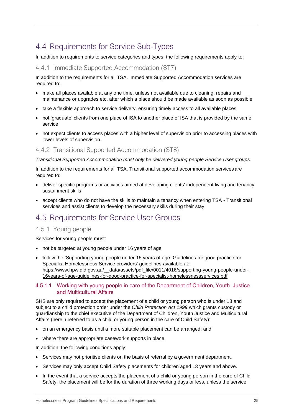# <span id="page-24-0"></span>4.4 Requirements for Service Sub-Types

In addition to requirements to service categories and types, the following requirements apply to:

### <span id="page-24-1"></span>4.4.1 Immediate Supported Accommodation (ST7)

In addition to the requirements for all TSA. Immediate Supported Accommodation services are required to:

- make all places available at any one time, unless not available due to cleaning, repairs and maintenance or upgrades etc, after which a place should be made available as soon as possible
- take a flexible approach to service delivery, ensuring timely access to all available places
- not 'graduate' clients from one place of ISA to another place of ISA that is provided by the same service
- not expect clients to access places with a higher level of supervision prior to accessing places with lower levels of supervision.

### <span id="page-24-2"></span>4.4.2 Transitional Supported Accommodation (ST8)

*Transitional Supported Accommodation must only be delivered young people Service User groups.*

In addition to the requirements for all TSA, Transitional supported accommodation services are required to:

- deliver specific programs or activities aimed at developing clients' independent living and tenancy sustainment skills
- accept clients who do not have the skills to maintain a tenancy when entering TSA Transitional services and assist clients to develop the necessary skills during their stay.

# <span id="page-24-3"></span>4.5 Requirements for Service User Groups

## <span id="page-24-4"></span>4.5.1 Young people

Services for young people must:

- not be targeted at young people under 16 years of age
- follow the 'Supporting young people under 16 years of age: Guidelines for good practice for Specialist Homelessness Service providers' guidelines available at: [https://www.hpw.qld.gov.au/\\_\\_data/assets/pdf\\_file/0011/4016/supporting-young-people-under-](https://www.hpw.qld.gov.au/__data/assets/pdf_file/0011/4016/supporting-young-people-under-16years-of-age-guidelines-for-good-practice-for-specialist-homelessnessservices.pdf)[16years-of-age-guidelines-for-good-practice-for-specialist-homelessnessservices.pdf](https://www.hpw.qld.gov.au/__data/assets/pdf_file/0011/4016/supporting-young-people-under-16years-of-age-guidelines-for-good-practice-for-specialist-homelessnessservices.pdf)

#### 4.5.1.1 Working with young people in care of the Department of Children, Youth Justice and Multicultural Affairs

SHS are only required to accept the placement of a child or young person who is under 18 and subject to a child protection order under the *Child Protection Act 1999* which grants custody or guardianship to the chief executive of the Department of Children, Youth Justice and Multicultural Affairs (herein referred to as a child or young person in the care of Child Safety):

- on an emergency basis until a more suitable placement can be arranged; and
- where there are appropriate casework supports in place.

In addition, the following conditions apply:

- Services may not prioritise clients on the basis of referral by a government department.
- Services may only accept Child Safety placements for children aged 13 years and above.
- In the event that a service accepts the placement of a child or young person in the care of Child Safety, the placement will be for the duration of three working days or less, unless the service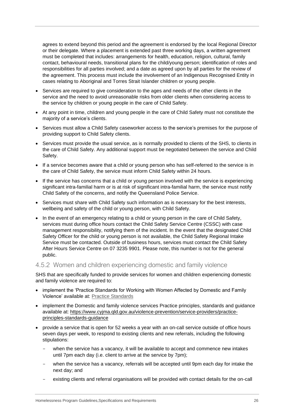agrees to extend beyond this period and the agreement is endorsed by the local Regional Director or their delegate. Where a placement is extended past three working days, a written agreement must be completed that includes: arrangements for health, education, religion, cultural, family contact, behavioural needs, transitional plans for the child/young person; identification of roles and responsibilities for all parties involved; and a date as agreed upon by all parties for the review of the agreement. This process must include the involvement of an Indigenous Recognised Entity in cases relating to Aboriginal and Torres Strait Islander children or young people.

- Services are required to give consideration to the ages and needs of the other clients in the service and the need to avoid unreasonable risks from older clients when considering access to the service by children or young people in the care of Child Safety.
- At any point in time, children and young people in the care of Child Safety must not constitute the majority of a service's clients.
- Services must allow a Child Safety caseworker access to the service's premises for the purpose of providing support to Child Safety clients.
- Services must provide the usual service, as is normally provided to clients of the SHS, to clients in the care of Child Safety. Any additional support must be negotiated between the service and Child Safety.
- If a service becomes aware that a child or young person who has self-referred to the service is in the care of Child Safety, the service must inform Child Safety within 24 hours.
- If the service has concerns that a child or young person involved with the service is experiencing significant intra-familial harm or is at risk of significant intra-familial harm, the service must notify Child Safety of the concerns, and notify the Queensland Police Service.
- Services must share with Child Safety such information as is necessary for the best interests, wellbeing and safety of the child or young person, with Child Safety.
- In the event of an emergency relating to a child or young person in the care of Child Safety, services must during office hours contact the Child Safety Service Centre (CSSC) with case management responsibility, notifying them of the incident. In the event that the designated Child Safety Officer for the child or young person is not available, the Child Safety Regional Intake Service must be contacted. Outside of business hours, services must contact the Child Safety After Hours Service Centre on 07 3235 9901. Please note, this number is not for the general public.

### <span id="page-25-0"></span>4.5.2 Women and children experiencing domestic and family violence

SHS that are specifically funded to provide services for women and children experiencing domestic and family violence are required to:

- implement the 'Practice Standards for Working with Women Affected by Domestic and Family Violence' available at: [Practice Standards](https://publications.qld.gov.au/dataset/domestic-and-family-violence-resources/resource/117eea90-7a83-4abf-aa43-c0d9716c0f8c)
- implement the Domestic and family violence services Practice principles, standards and guidance available at: [https://www.cyjma.qld.gov.au/violence-prevention/service-providers/practice](https://www.cyjma.qld.gov.au/violence-prevention/service-providers/practice-principles-standards-guidance)[principles-standards-guidance](https://www.cyjma.qld.gov.au/violence-prevention/service-providers/practice-principles-standards-guidance)
- provide a service that is open for 52 weeks a year with an on-call service outside of office hours seven days per week, to respond to existing clients and new referrals, including the following stipulations:
	- when the service has a vacancy, it will be available to accept and commence new intakes until 7pm each day (i.e. client to arrive at the service by 7pm);
	- when the service has a vacancy, referrals will be accepted until 9pm each day for intake the next day; and
	- existing clients and referral organisations will be provided with contact details for the on-call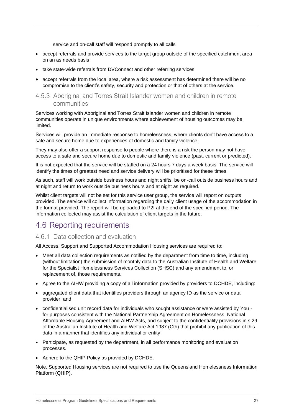service and on-call staff will respond promptly to all calls

- accept referrals and provide services to the target group outside of the specified catchment area on an as needs basis
- take state-wide referrals from DVConnect and other referring services
- accept referrals from the local area, where a risk assessment has determined there will be no compromise to the client's safety, security and protection or that of others at the service.

# <span id="page-26-0"></span>4.5.3 Aboriginal and Torres Strait Islander women and children in remote communities

Services working with Aboriginal and Torres Strait Islander women and children in remote communities operate in unique environments where achievement of housing outcomes may be limited.

Services will provide an immediate response to homelessness, where clients don't have access to a safe and secure home due to experiences of domestic and family violence.

They may also offer a support response to people where there is a risk the person may not have access to a safe and secure home due to domestic and family violence (past, current or predicted).

It is not expected that the service will be staffed on a 24 hours 7 days a week basis. The service will identify the times of greatest need and service delivery will be prioritised for these times.

As such, staff will work outside business hours and night shifts, be on-call outside business hours and at night and return to work outside business hours and at night as required.

Whilst client targets will not be set for this service user group, the service will report on outputs provided. The service will collect information regarding the daily client usage of the accommodation in the format provided. The report will be uploaded to P2I at the end of the specified period. The information collected may assist the calculation of client targets in the future.

# <span id="page-26-1"></span>4.6 Reporting requirements

## <span id="page-26-2"></span>4.6.1 Data collection and evaluation

All Access, Support and Supported Accommodation Housing services are required to:

- Meet all data collection requirements as notified by the department from time to time, including (without limitation) the submission of monthly data to the Australian Institute of Health and Welfare for the Specialist Homelessness Services Collection (SHSC) and any amendment to, or replacement of, those requirements.
- Agree to the AIHW providing a copy of all information provided by providers to DCHDE, including:
- aggregated client data that identifies providers through an agency ID as the service or data provider; and
- confidentialised unit record data for individuals who sought assistance or were assisted by You for purposes consistent with the National Partnership Agreement on Homelessness, National Affordable Housing Agreement and AIHW Acts, and subject to the confidentiality provisions in s 29 of the Australian Institute of Health and Welfare Act 1987 (Cth) that prohibit any publication of this data in a manner that identifies any individual or entity
- Participate, as requested by the department, in all performance monitoring and evaluation processes.
- Adhere to the QHIP Policy as provided by DCHDE.

Note. Supported Housing services are not required to use the Queensland Homelessness Information Platform (QHIP).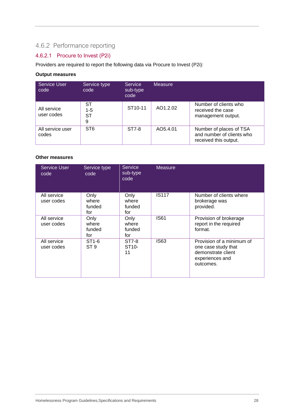# <span id="page-27-0"></span>4.6.2 Performance reporting

# 4.6.2.1 Procure to Invest (P2i)

Providers are required to report the following data via Procure to Invest (P2i):

### **Output measures**

| <b>Service User</b><br>code | Service type<br>code | <b>Service</b><br>sub-type<br>code | <b>Measure</b> |                                                                               |
|-----------------------------|----------------------|------------------------------------|----------------|-------------------------------------------------------------------------------|
| All service<br>user codes   | ST<br>1-5<br>ST<br>9 | ST <sub>10-11</sub>                | AO1.2.02       | Number of clients who<br>received the case<br>management output.              |
| All service user<br>codes   | ST <sub>6</sub>      | ST7-8                              | AO5.4.01       | Number of places of TSA<br>and number of clients who<br>received this output. |

#### **Other measures**

| <b>Service User</b><br>code | Service type<br>code                 | <b>Service</b><br>sub-type<br>code | <b>Measure</b> |                                                                                                        |
|-----------------------------|--------------------------------------|------------------------------------|----------------|--------------------------------------------------------------------------------------------------------|
| All service<br>user codes   | Only<br>where<br>funded<br>for       | Only<br>where<br>funded<br>for     | <b>IS117</b>   | Number of clients where<br>brokerage was<br>provided.                                                  |
| All service<br>user codes   | Only<br>where<br>funded<br>for       | Only<br>where<br>funded<br>for     | <b>IS61</b>    | Provision of brokerage<br>report in the required<br>format.                                            |
| All service<br>user codes   | ST <sub>1-6</sub><br>ST <sub>9</sub> | ST7-8<br>ST <sub>10</sub> -<br>11  | IS63           | Provision of a minimum of<br>one case study that<br>demonstrate client<br>experiences and<br>outcomes. |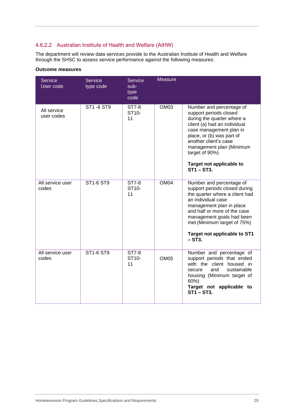# 4.6.2.2 Australian Institute of Health and Welfare (AIHW)

The department will review data services provide to the Australian Institute of Health and Welfare through the SHSC to assess service performance against the following measures:

| Service<br>User code      | <b>Service</b><br>type code | Service<br>sub-<br>type<br>code   | <b>Measure</b>   |                                                                                                                                                                                                                                                                                              |
|---------------------------|-----------------------------|-----------------------------------|------------------|----------------------------------------------------------------------------------------------------------------------------------------------------------------------------------------------------------------------------------------------------------------------------------------------|
| All service<br>user codes | ST1 - 6 ST9                 | ST7-8<br>ST10-<br>11              | OM <sub>03</sub> | Number and percentage of<br>support periods closed<br>during the quarter where a<br>client (a) had an individual<br>case management plan in<br>place, or (b) was part of<br>another client's case<br>management plan (Minimum<br>target of 90%)<br>Target not applicable to<br>$ST1 - ST3$ . |
| All service user<br>codes | <b>ST1-6 ST9</b>            | ST7-8<br>ST <sub>10</sub> -<br>11 | OM <sub>04</sub> | Number and percentage of<br>support periods closed during<br>the quarter where a client had<br>an individual case<br>management plan in place<br>and half or more of the case<br>management goals had been<br>met (Minimum target of 75%)<br>Target not applicable to ST1<br>$-ST3.$         |
| All service user<br>codes | ST1-6 ST9                   | ST7-8<br>ST <sub>10</sub> -<br>11 | OM <sub>05</sub> | Number and percentage of<br>support periods that ended<br>with the client housed in<br>and<br>sustainable<br>secure<br>housing (Minimum target of<br>60%)<br>Target not applicable to<br><b>ST1-ST3.</b>                                                                                     |

#### **Outcome measures**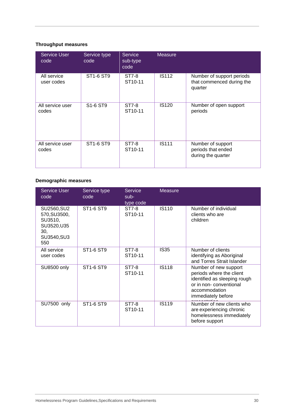# **Throughput measures**

| <b>Service User</b><br>code | Service type<br>code              | <b>Service</b><br>sub-type<br>code | <b>Measure</b> |                                                                   |
|-----------------------------|-----------------------------------|------------------------------------|----------------|-------------------------------------------------------------------|
| All service<br>user codes   | ST1-6 ST9                         | ST7-8<br>ST <sub>10-11</sub>       | <b>IS112</b>   | Number of support periods<br>that commenced during the<br>quarter |
| All service user<br>codes   | S <sub>1</sub> -6 ST <sub>9</sub> | ST7-8<br>ST <sub>10</sub> -11      | <b>IS120</b>   | Number of open support<br>periods                                 |
| All service user<br>codes   | ST1-6 ST9                         | ST7-8<br>ST <sub>10-11</sub>       | <b>IS111</b>   | Number of support<br>periods that ended<br>during the quarter     |

### **Demographic measures**

| <b>Service User</b><br>code                                                        | Service type<br>code | Service<br>$sub-$<br>type code | <b>Measure</b> |                                                                                                                                                    |
|------------------------------------------------------------------------------------|----------------------|--------------------------------|----------------|----------------------------------------------------------------------------------------------------------------------------------------------------|
| SU2560, SU2<br>570, SU3500,<br>SU3510,<br>SU3520, U35<br>30,<br>SU3540, SU3<br>550 | ST1-6 ST9            | ST7-8<br>ST <sub>10</sub> -11  | <b>IS110</b>   | Number of individual<br>clients who are<br>children                                                                                                |
| All service<br>user codes                                                          | ST1-6 ST9            | ST7-8<br>ST <sub>10-11</sub>   | <b>IS35</b>    | Number of clients<br>identifying as Aboriginal<br>and Torres Strait Islander                                                                       |
| SU8500 only                                                                        | ST1-6 ST9            | ST7-8<br>ST <sub>10</sub> -11  | <b>IS118</b>   | Number of new support<br>periods where the client<br>identified as sleeping rough<br>or in non-conventional<br>accommodation<br>immediately before |
| SU7500 only                                                                        | ST1-6 ST9            | ST7-8<br>ST <sub>10-11</sub>   | <b>IS119</b>   | Number of new clients who<br>are experiencing chronic<br>homelessness immediately<br>before support                                                |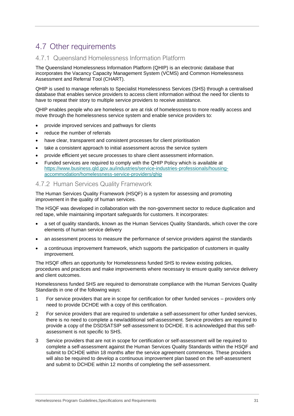# <span id="page-30-0"></span>4.7 Other requirements

# <span id="page-30-1"></span>4.7.1 Queensland Homelessness Information Platform

The Queensland Homelessness Information Platform (QHIP) is an electronic database that incorporates the Vacancy Capacity Management System (VCMS) and Common Homelessness Assessment and Referral Tool (CHART).

QHIP is used to manage referrals to Specialist Homelessness Services (SHS) through a centralised database that enables service providers to access client information without the need for clients to have to repeat their story to multiple service providers to receive assistance.

QHIP enables people who are homeless or are at risk of homelessness to more readily access and move through the homelessness service system and enable service providers to:

- provide improved services and pathways for clients
- reduce the number of referrals
- have clear, transparent and consistent processes for client prioritisation
- take a consistent approach to initial assessment across the service system
- provide efficient yet secure processes to share client assessment information.
- Funded services are required to comply with the QHIP Policy which is available at [https://www.business.qld.gov.au/industries/service-industries-professionals/housing](https://www.business.qld.gov.au/industries/service-industries-professionals/housing-accommodation/homelessness-service-providers/qhip)[accommodation/homelessness-service-providers/qhip](https://www.business.qld.gov.au/industries/service-industries-professionals/housing-accommodation/homelessness-service-providers/qhip)

### <span id="page-30-2"></span>4.7.2 Human Services Quality Framework

The Human Services Quality Framework (HSQF) is a system for assessing and promoting improvement in the quality of human services.

The HSQF was developed in collaboration with the non-government sector to reduce duplication and red tape, while maintaining important safeguards for customers. It incorporates:

- a set of quality standards, known as the Human Services Quality Standards, which cover the core elements of human service delivery
- an assessment process to measure the performance of service providers against the standards
- a continuous improvement framework, which supports the participation of customers in quality improvement.

The HSQF offers an opportunity for Homelessness funded SHS to review existing policies, procedures and practices and make improvements where necessary to ensure quality service delivery and client outcomes.

Homelessness funded SHS are required to demonstrate compliance with the Human Services Quality Standards in one of the following ways:

- 1 For service providers that are in scope for certification for other funded services providers only need to provide DCHDE with a copy of this certification.
- 2 For service providers that are required to undertake a self-assessment for other funded services, there is no need to complete a new/additional self-assessment. Service providers are required to provide a copy of the DSDSATSIP self-assessment to DCHDE. It is acknowledged that this selfassessment is not specific to SHS.
- 3 Service providers that are not in scope for certification or self-assessment will be required to complete a self-assessment against the Human Services Quality Standards within the HSQF and submit to DCHDE within 18 months after the service agreement commences. These providers will also be required to develop a continuous improvement plan based on the self-assessment and submit to DCHDE within 12 months of completing the self-assessment.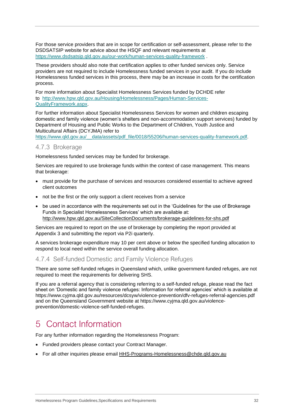For those service providers that are in scope for certification or self-assessment, please refer to the DSDSATSIP website for advice about the HSQF and relevant requirements at <https://www.dsdsatsip.qld.gov.au/our-work/human-services-quality-framework> .

These providers should also note that certification applies to other funded services only. Service providers are not required to include Homelessness funded services in your audit. If you do include Homelessness funded services in this process, there may be an increase in costs for the certification process.

For more information about Specialist Homelessness Services funded by DCHDE refer to [http://www.hpw.qld.gov.au/Housing/Homelessness/Pages/Human-Services-](http://www.hpw.qld.gov.au/Housing/Homelessness/Pages/Human-Services-QualityFramework.aspx)[QualityFramework.aspx.](http://www.hpw.qld.gov.au/Housing/Homelessness/Pages/Human-Services-QualityFramework.aspx)

For further information about Specialist Homelessness Services for women and children escaping domestic and family violence (women's shelters and non-accommodation support services) funded by Department of Housing and Public Works to the Department of Children, Youth Justice and Multicultural Affairs (DCYJMA) refer to

[https://www.qld.gov.au/\\_\\_data/assets/pdf\\_file/0018/55206/human-services-quality-framework.pdf.](https://www.qld.gov.au/__data/assets/pdf_file/0018/55206/human-services-quality-framework.pdf)

## <span id="page-31-0"></span>4.7.3 Brokerage

Homelessness funded services may be funded for brokerage.

Services are required to use brokerage funds within the context of case management. This means that brokerage:

- must provide for the purchase of services and resources considered essential to achieve agreed client outcomes
- not be the first or the only support a client receives from a service
- be used in accordance with the requirements set out in the 'Guidelines for the use of Brokerage Funds in Specialist Homelessness Services' which are available at: <http://www.hpw.qld.gov.au/SiteCollectionDocuments/brokerage-guidelines-for-shs.pdf>

Services are required to report on the use of brokerage by completing the report provided at Appendix 3 and submitting the report via P2i quarterly.

A services brokerage expenditure may 10 per cent above or below the specified funding allocation to respond to local need within the service overall funding allocation.

### <span id="page-31-1"></span>4.7.4 Self-funded Domestic and Family Violence Refuges

There are some self-funded refuges in Queensland which, unlike government-funded refuges, are not required to meet the requirements for delivering SHS.

If you are a referral agency that is considering referring to a self-funded refuge, please read the fact sheet on 'Domestic and family violence refuges: Information for referral agencies' which is available at <https://www.cyjma.qld.gov.au/resources/dcsyw/violence-prevention/dfv-refuges-referral-agencies.pdf> and on the Queensland Government website at [https://www.cyjma.qld.gov.au/violence](https://www.cyjma.qld.gov.au/violence-prevention/domestic-violence-self-funded-refuges)[prevention/domestic-violence-self-funded-refuges.](https://www.cyjma.qld.gov.au/violence-prevention/domestic-violence-self-funded-refuges)

# <span id="page-31-2"></span>5 Contact Information

For any further information regarding the Homelessness Program:

- Funded providers please contact your Contract Manager.
- For all other inquiries please email [HHS-Programs-Homelessness@chde.qld.gov.au](mailto:HHS-Programs-Homelessness@chde.qld.gov.au)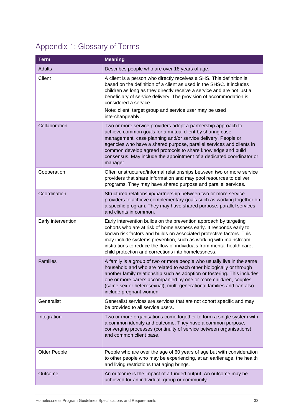# <span id="page-32-0"></span>Appendix 1: Glossary of Terms

| <b>Term</b>        | <b>Meaning</b>                                                                                                                                                                                                                                                                                                                                                                                                        |
|--------------------|-----------------------------------------------------------------------------------------------------------------------------------------------------------------------------------------------------------------------------------------------------------------------------------------------------------------------------------------------------------------------------------------------------------------------|
| <b>Adults</b>      | Describes people who are over 18 years of age.                                                                                                                                                                                                                                                                                                                                                                        |
| Client             | A client is a person who directly receives a SHS. This definition is<br>based on the definition of a client as used in the SHSC. It includes<br>children as long as they directly receive a service and are not just a<br>beneficiary of service delivery. The provision of accommodation is<br>considered a service.<br>Note: client, target group and service user may be used<br>interchangeably.                  |
| Collaboration      | Two or more service providers adopt a partnership approach to<br>achieve common goals for a mutual client by sharing case<br>management, case planning and/or service delivery. People or<br>agencies who have a shared purpose, parallel services and clients in<br>common develop agreed protocols to share knowledge and build<br>consensus. May include the appointment of a dedicated coordinator or<br>manager. |
| Cooperation        | Often unstructured/informal relationships between two or more service<br>providers that share information and may pool resources to deliver<br>programs. They may have shared purpose and parallel services.                                                                                                                                                                                                          |
| Coordination       | Structured relationship/partnership between two or more service<br>providers to achieve complementary goals such as working together on<br>a specific program. They may have shared purpose, parallel services<br>and clients in common.                                                                                                                                                                              |
| Early intervention | Early intervention builds on the prevention approach by targeting<br>cohorts who are at risk of homelessness early. It responds early to<br>known risk factors and builds on associated protective factors. This<br>may include systems prevention, such as working with mainstream<br>institutions to reduce the flow of individuals from mental health care,<br>child protection and corrections into homelessness. |
| <b>Families</b>    | A family is a group of two or more people who usually live in the same<br>household and who are related to each other biologically or through<br>another family relationship such as adoption or fostering. This includes<br>one or more carers accompanied by one or more child/ren, couples<br>(same sex or heterosexual), multi-generational families and can also<br>include pregnant women.                      |
| Generalist         | Generalist services are services that are not cohort specific and may<br>be provided to all service users.                                                                                                                                                                                                                                                                                                            |
| Integration        | Two or more organisations come together to form a single system with<br>a common identity and outcome. They have a common purpose,<br>converging processes (continuity of service between organisations)<br>and common client base.                                                                                                                                                                                   |
| Older People       | People who are over the age of 60 years of age but with consideration<br>to other people who may be experiencing, at an earlier age, the health<br>and living restrictions that aging brings.                                                                                                                                                                                                                         |
| Outcome            | An outcome is the impact of a funded output. An outcome may be<br>achieved for an individual, group or community.                                                                                                                                                                                                                                                                                                     |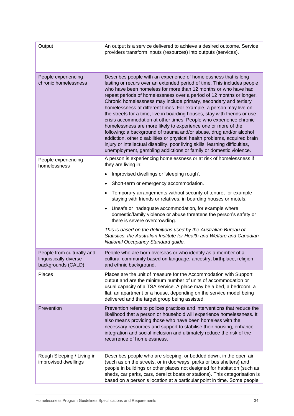| Output                                                                     | An output is a service delivered to achieve a desired outcome. Service<br>providers transform inputs (resources) into outputs (services).                                                                                                                                                                                                                                                                                                                                                                                                                                                                                                                                                                                                                                                                                                                                                                                                                     |
|----------------------------------------------------------------------------|---------------------------------------------------------------------------------------------------------------------------------------------------------------------------------------------------------------------------------------------------------------------------------------------------------------------------------------------------------------------------------------------------------------------------------------------------------------------------------------------------------------------------------------------------------------------------------------------------------------------------------------------------------------------------------------------------------------------------------------------------------------------------------------------------------------------------------------------------------------------------------------------------------------------------------------------------------------|
| People experiencing<br>chronic homelessness                                | Describes people with an experience of homelessness that is long<br>lasting or recurs over an extended period of time. This includes people<br>who have been homeless for more than 12 months or who have had<br>repeat periods of homelessness over a period of 12 months or longer.<br>Chronic homelessness may include primary, secondary and tertiary<br>homelessness at different times. For example, a person may live on<br>the streets for a time, live in boarding houses, stay with friends or use<br>crisis accommodation at other times. People who experience chronic<br>homelessness are more likely to experience one or more of the<br>following: a background of trauma and/or abuse, drug and/or alcohol<br>addiction, other disabilities or physical health problems, acquired brain<br>injury or intellectual disability, poor living skills, learning difficulties,<br>unemployment, gambling addictions or family or domestic violence. |
| People experiencing<br>homelessness                                        | A person is experiencing homelessness or at risk of homelessness if<br>they are living in:                                                                                                                                                                                                                                                                                                                                                                                                                                                                                                                                                                                                                                                                                                                                                                                                                                                                    |
|                                                                            | Improvised dwellings or 'sleeping rough'.<br>٠                                                                                                                                                                                                                                                                                                                                                                                                                                                                                                                                                                                                                                                                                                                                                                                                                                                                                                                |
|                                                                            | Short-term or emergency accommodation.<br>٠                                                                                                                                                                                                                                                                                                                                                                                                                                                                                                                                                                                                                                                                                                                                                                                                                                                                                                                   |
|                                                                            | Temporary arrangements without security of tenure, for example<br>staying with friends or relatives, in boarding houses or motels.                                                                                                                                                                                                                                                                                                                                                                                                                                                                                                                                                                                                                                                                                                                                                                                                                            |
|                                                                            | Unsafe or inadequate accommodation, for example where<br>domestic/family violence or abuse threatens the person's safety or<br>there is severe overcrowding.                                                                                                                                                                                                                                                                                                                                                                                                                                                                                                                                                                                                                                                                                                                                                                                                  |
|                                                                            | This is based on the definitions used by the Australian Bureau of<br>Statistics, the Australian Institute for Health and Welfare and Canadian<br>National Occupancy Standard guide.                                                                                                                                                                                                                                                                                                                                                                                                                                                                                                                                                                                                                                                                                                                                                                           |
| People from culturally and<br>linguistically diverse<br>backgrounds (CALD) | People who are born overseas or who identify as a member of a<br>cultural community based on language, ancestry, birthplace, religion<br>and ethnic background.                                                                                                                                                                                                                                                                                                                                                                                                                                                                                                                                                                                                                                                                                                                                                                                               |
| Places                                                                     | Places are the unit of measure for the Accommodation with Support<br>output and are the minimum number of units of accommodation or<br>usual capacity of a TSA service. A place may be a bed, a bedroom, a<br>flat, an apartment or a house, depending on the service model being<br>delivered and the target group being assisted.                                                                                                                                                                                                                                                                                                                                                                                                                                                                                                                                                                                                                           |
| Prevention                                                                 | Prevention refers to polices practices and interventions that reduce the<br>likelihood that a person or household will experience homelessness. It<br>also means providing those who have been homeless with the<br>necessary resources and support to stabilise their housing, enhance<br>integration and social inclusion and ultimately reduce the risk of the<br>recurrence of homelessness.                                                                                                                                                                                                                                                                                                                                                                                                                                                                                                                                                              |
| Rough Sleeping / Living in<br>improvised dwellings                         | Describes people who are sleeping, or bedded down, in the open air<br>(such as on the streets, or in doorways, parks or bus shelters) and<br>people in buildings or other places not designed for habitation (such as<br>sheds, car parks, cars, derelict boats or stations). This categorisation is<br>based on a person's location at a particular point in time. Some people                                                                                                                                                                                                                                                                                                                                                                                                                                                                                                                                                                               |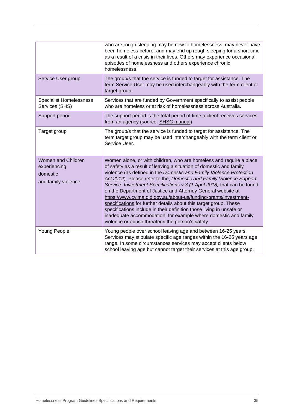|                                                                       | who are rough sleeping may be new to homelessness, may never have<br>been homeless before, and may end up rough sleeping for a short time<br>as a result of a crisis in their lives. Others may experience occasional<br>episodes of homelessness and others experience chronic<br>homelessness.                                                                                                                                                                                                                                                                                                                                                                                                                                                                             |
|-----------------------------------------------------------------------|------------------------------------------------------------------------------------------------------------------------------------------------------------------------------------------------------------------------------------------------------------------------------------------------------------------------------------------------------------------------------------------------------------------------------------------------------------------------------------------------------------------------------------------------------------------------------------------------------------------------------------------------------------------------------------------------------------------------------------------------------------------------------|
| Service User group                                                    | The group/s that the service is funded to target for assistance. The<br>term Service User may be used interchangeably with the term client or<br>target group.                                                                                                                                                                                                                                                                                                                                                                                                                                                                                                                                                                                                               |
| <b>Specialist Homelessness</b><br>Services (SHS)                      | Services that are funded by Government specifically to assist people<br>who are homeless or at risk of homelessness across Australia.                                                                                                                                                                                                                                                                                                                                                                                                                                                                                                                                                                                                                                        |
| Support period                                                        | The support period is the total period of time a client receives services<br>from an agency (source: SHSC manual)                                                                                                                                                                                                                                                                                                                                                                                                                                                                                                                                                                                                                                                            |
| Target group                                                          | The group/s that the service is funded to target for assistance. The<br>term target group may be used interchangeably with the term client or<br>Service User.                                                                                                                                                                                                                                                                                                                                                                                                                                                                                                                                                                                                               |
| Women and Children<br>experiencing<br>domestic<br>and family violence | Women alone, or with children, who are homeless and require a place<br>of safety as a result of leaving a situation of domestic and family<br>violence (as defined in the Domestic and Family Violence Protection<br>Act 2012). Please refer to the, Domestic and Family Violence Support<br>Service: Investment Specifications v.3 (1 April 2018) that can be found<br>on the Department of Justice and Attorney General website at<br>https://www.cyjma.qld.gov.au/about-us/funding-grants/investment-<br>specifications for further details about this target group. These<br>specifications include in their definition those living in unsafe or<br>inadequate accommodation, for example where domestic and family<br>violence or abuse threatens the person's safety. |
| Young People                                                          | Young people over school leaving age and between 16-25 years.<br>Services may stipulate specific age ranges within the 16-25 years age<br>range. In some circumstances services may accept clients below<br>school leaving age but cannot target their services at this age group.                                                                                                                                                                                                                                                                                                                                                                                                                                                                                           |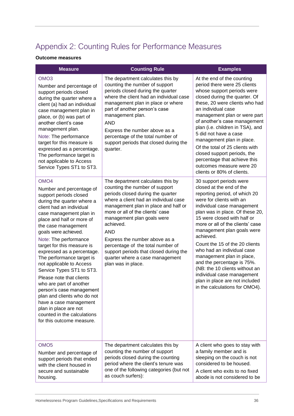# <span id="page-35-0"></span>Appendix 2: Counting Rules for Performance Measures

### **Outcome measures**

| <b>Measure</b>                                                                                                                                                                                                                                                                                                                                                                                                                                                                                                                                                                                                                                      | <b>Counting Rule</b>                                                                                                                                                                                                                                                                                                                                                                                                                                            | <b>Examples</b>                                                                                                                                                                                                                                                                                                                                                                                                                                                                                                                                                |
|-----------------------------------------------------------------------------------------------------------------------------------------------------------------------------------------------------------------------------------------------------------------------------------------------------------------------------------------------------------------------------------------------------------------------------------------------------------------------------------------------------------------------------------------------------------------------------------------------------------------------------------------------------|-----------------------------------------------------------------------------------------------------------------------------------------------------------------------------------------------------------------------------------------------------------------------------------------------------------------------------------------------------------------------------------------------------------------------------------------------------------------|----------------------------------------------------------------------------------------------------------------------------------------------------------------------------------------------------------------------------------------------------------------------------------------------------------------------------------------------------------------------------------------------------------------------------------------------------------------------------------------------------------------------------------------------------------------|
| OMO <sub>3</sub><br>Number and percentage of<br>support periods closed<br>during the quarter where a<br>client (a) had an individual<br>case management plan in<br>place, or (b) was part of<br>another client's case<br>management plan.<br>Note: The performance<br>target for this measure is<br>expressed as a percentage.<br>The performance target is<br>not applicable to Access<br>Service Types ST1 to ST3.                                                                                                                                                                                                                                | The department calculates this by<br>counting the number of support<br>periods closed during the quarter<br>where the client had an individual case<br>management plan in place or where<br>part of another person's case<br>management plan.<br><b>AND</b><br>Express the number above as a<br>percentage of the total number of<br>support periods that closed during the<br>quarter.                                                                         | At the end of the counting<br>period there were 25 clients<br>whose support periods were<br>closed during the quarter. Of<br>these, 20 were clients who had<br>an individual case<br>management plan or were part<br>of another's case management<br>plan (i.e. children in TSA), and<br>5 did not have a case<br>management plan in place.<br>Of the total of 25 clients with<br>closed support periods, the<br>percentage that achieve this<br>outcomes measure were 20<br>clients or 80% of clients.                                                        |
| OMO <sub>4</sub><br>Number and percentage of<br>support periods closed<br>during the quarter where a<br>client had an individual<br>case management plan in<br>place and half or more of<br>the case management<br>goals were achieved.<br>Note: The performance<br>target for this measure is<br>expressed as a percentage.<br>The performance target is<br>not applicable to Access<br>Service Types ST1 to ST3.<br>Please note that clients<br>who are part of another<br>person's case management<br>plan and clients who do not<br>have a case management<br>plan in place are not<br>counted in the calculations<br>for this outcome measure. | The department calculates this by<br>counting the number of support<br>periods closed during the quarter<br>where a client had an individual case<br>management plan in place and half or<br>more or all of the clients' case<br>management plan goals were<br>achieved.<br><b>AND</b><br>Express the number above as a<br>percentage of the total number of<br>support periods that closed during the<br>quarter where a case management<br>plan was in place. | 30 support periods were<br>closed at the end of the<br>reporting period, of which 20<br>were for clients with an<br>individual case management<br>plan was in place. Of these 20,<br>15 were closed with half or<br>more or all of the clients' case<br>management plan goals were<br>achieved.<br>Count the 15 of the 20 clients<br>who had an individual case<br>management plan in place,<br>and the percentage is 75%.<br>(NB: the 10 clients without an<br>individual case management<br>plan in place are not included<br>in the calculations for OMO4). |
| OMO <sub>5</sub><br>Number and percentage of<br>support periods that ended<br>with the client housed in<br>secure and sustainable<br>housing.                                                                                                                                                                                                                                                                                                                                                                                                                                                                                                       | The department calculates this by<br>counting the number of support<br>periods closed during the counting<br>period where the client's tenure was<br>one of the following categories (but not<br>as couch surfers):                                                                                                                                                                                                                                             | A client who goes to stay with<br>a family member and is<br>sleeping on the couch is not<br>considered to be housed.<br>A client who exits to no fixed<br>abode is not considered to be                                                                                                                                                                                                                                                                                                                                                                        |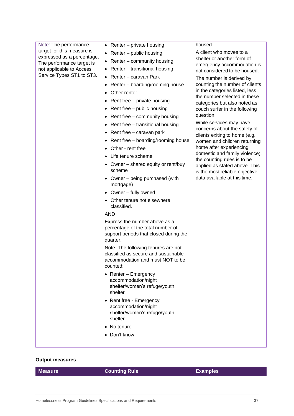| Note: The performance                                    | • Renter – private housing                                                                                               | housed.                                                        |
|----------------------------------------------------------|--------------------------------------------------------------------------------------------------------------------------|----------------------------------------------------------------|
| target for this measure is<br>expressed as a percentage. | • Renter $-$ public housing                                                                                              | A client who moves to a                                        |
| The performance target is                                | • Renter – community housing                                                                                             | shelter or another form of<br>emergency accommodation is       |
| not applicable to Access                                 | • Renter - transitional housing                                                                                          | not considered to be housed.                                   |
| Service Types ST1 to ST3.                                | Renter - caravan Park<br>$\bullet$                                                                                       | The number is derived by                                       |
|                                                          | Renter – boarding/rooming house                                                                                          | counting the number of clients                                 |
|                                                          | Other renter                                                                                                             | in the categories listed, less<br>the number selected in these |
|                                                          | Rent free - private housing<br>$\bullet$                                                                                 | categories but also noted as                                   |
|                                                          | Rent free - public housing                                                                                               | couch surfer in the following                                  |
|                                                          | Rent free - community housing                                                                                            | question.                                                      |
|                                                          | • Rent free - transitional housing                                                                                       | While services may have                                        |
|                                                          | Rent free – caravan park                                                                                                 | concerns about the safety of<br>clients exiting to home (e.g.  |
|                                                          | Rent free - boarding/rooming house                                                                                       | women and children returning                                   |
|                                                          | Other - rent free                                                                                                        | home after experiencing                                        |
|                                                          | Life tenure scheme                                                                                                       | domestic and family violence),<br>the counting rules is to be  |
|                                                          | • Owner – shared equity or rent/buy                                                                                      | applied as stated above. This                                  |
|                                                          | scheme                                                                                                                   | is the most reliable objective                                 |
|                                                          | • Owner – being purchased (with<br>mortgage)                                                                             | data available at this time.                                   |
|                                                          | Owner - fully owned<br>$\bullet$                                                                                         |                                                                |
|                                                          | Other tenure not elsewhere<br>classified.                                                                                |                                                                |
|                                                          | <b>AND</b>                                                                                                               |                                                                |
|                                                          | Express the number above as a<br>percentage of the total number of<br>support periods that closed during the<br>quarter. |                                                                |
|                                                          | Note. The following tenures are not                                                                                      |                                                                |
|                                                          | classified as secure and sustainable<br>accommodation and must NOT to be<br>counted:                                     |                                                                |
|                                                          | • Renter - Emergency<br>accommodation/night<br>shelter/women's refuge/youth<br>shelter                                   |                                                                |
|                                                          | • Rent free - Emergency<br>accommodation/night<br>shelter/women's refuge/youth<br>shelter                                |                                                                |
|                                                          | • No tenure                                                                                                              |                                                                |
|                                                          | • Don't know                                                                                                             |                                                                |
|                                                          |                                                                                                                          |                                                                |

### **Output measures**

| <b>Measure</b> | <b>Counting Rule</b> | <b>Examples</b> |
|----------------|----------------------|-----------------|
|                |                      |                 |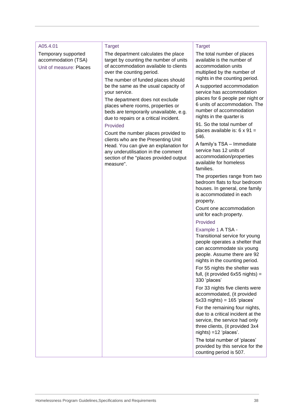| A05.4.01                                                              | <b>Target</b>                                                                                                                                                              | <b>Target</b>                                                                                                                                                                       |
|-----------------------------------------------------------------------|----------------------------------------------------------------------------------------------------------------------------------------------------------------------------|-------------------------------------------------------------------------------------------------------------------------------------------------------------------------------------|
| Temporary supported<br>accommodation (TSA)<br>Unit of measure: Places | The department calculates the place<br>target by counting the number of units<br>of accommodation available to clients<br>over the counting period.                        | The total number of places<br>available is the number of<br>accommodation units<br>multiplied by the number of                                                                      |
|                                                                       | The number of funded places should<br>be the same as the usual capacity of<br>your service.                                                                                | nights in the counting period.<br>A supported accommodation<br>service has accommodation                                                                                            |
|                                                                       | The department does not exclude<br>places where rooms, properties or<br>beds are temporarily unavailable, e.g.<br>due to repairs or a critical incident.                   | places for 6 people per night or<br>6 units of accommodation. The<br>number of accommodation<br>nights in the quarter is                                                            |
|                                                                       | Provided<br>Count the number places provided to                                                                                                                            | 91. So the total number of<br>places available is: $6 \times 91 =$                                                                                                                  |
|                                                                       | clients who are the Presenting Unit<br>Head. You can give an explanation for<br>any underutilisation in the comment<br>section of the "places provided output<br>measure". | 546.<br>A family's TSA - Immediate<br>service has 12 units of<br>accommodation/properties<br>available for homeless<br>families.                                                    |
|                                                                       |                                                                                                                                                                            | The properties range from two<br>bedroom flats to four bedroom<br>houses. In general, one family<br>is accommodated in each<br>property.                                            |
|                                                                       |                                                                                                                                                                            | Count one accommodation<br>unit for each property.                                                                                                                                  |
|                                                                       |                                                                                                                                                                            | Provided                                                                                                                                                                            |
|                                                                       |                                                                                                                                                                            | Example 1 A TSA -<br>Transitional service for young<br>people operates a shelter that<br>can accommodate six young<br>people. Assume there are 92<br>nights in the counting period. |
|                                                                       |                                                                                                                                                                            | For 55 nights the shelter was<br>full, (it provided $6x55$ nights) =<br>330 'places'                                                                                                |
|                                                                       |                                                                                                                                                                            | For 33 nights five clients were<br>accommodated, (it provided<br>$5x33$ nights) = $165$ 'places'                                                                                    |
|                                                                       |                                                                                                                                                                            | For the remaining four nights,<br>due to a critical incident at the<br>service, the service had only<br>three clients, (it provided 3x4<br>$nights$ = 12 'places'.                  |
|                                                                       |                                                                                                                                                                            | The total number of 'places'<br>provided by this service for the<br>counting period is 507.                                                                                         |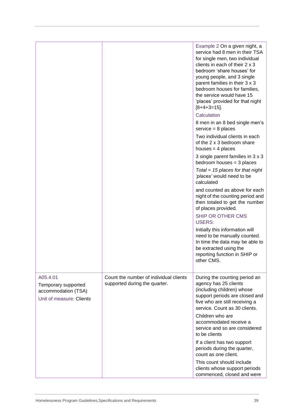|                                                                                    |                                                                         | Example 2 On a given night, a<br>service had 8 men in their TSA<br>for single men, two individual<br>clients in each of their 2 x 3<br>bedroom 'share houses' for<br>young people, and 3 single<br>parent families in their 3 x 3<br>bedroom houses for families,<br>the service would have 15<br>'places' provided for that night<br>$[8+4+3=15]$ .<br>Calculation |
|------------------------------------------------------------------------------------|-------------------------------------------------------------------------|---------------------------------------------------------------------------------------------------------------------------------------------------------------------------------------------------------------------------------------------------------------------------------------------------------------------------------------------------------------------|
|                                                                                    |                                                                         | 8 men in an 8 bed single men's<br>$s$ ervice = 8 places                                                                                                                                                                                                                                                                                                             |
|                                                                                    |                                                                         | Two individual clients in each<br>of the 2 x 3 bedroom share<br>houses = $4$ places                                                                                                                                                                                                                                                                                 |
|                                                                                    |                                                                         | 3 single parent families in 3 x 3<br>bedroom houses $=$ 3 places                                                                                                                                                                                                                                                                                                    |
|                                                                                    |                                                                         | Total = 15 places for that night<br>'places' would need to be<br>calculated                                                                                                                                                                                                                                                                                         |
|                                                                                    |                                                                         | and counted as above for each<br>night of the counting period and<br>then totaled to get the number<br>of places provided.                                                                                                                                                                                                                                          |
|                                                                                    |                                                                         | SHIP OR OTHER CMS<br><b>USERS:</b>                                                                                                                                                                                                                                                                                                                                  |
|                                                                                    |                                                                         | Initially this information will<br>need to be manually counted.<br>In time the data may be able to<br>be extracted using the<br>reporting function in SHIP or<br>other CMS.                                                                                                                                                                                         |
| A05.4.01<br>Temporary supported<br>accommodation (TSA)<br>Unit of measure: Clients | Count the number of individual clients<br>supported during the quarter. | During the counting period an<br>agency has 25 clients<br>(including children) whose<br>support periods are closed and<br>five who are still receiving a<br>service. Count as 30 clients.<br>Children who are                                                                                                                                                       |
|                                                                                    |                                                                         | accommodated receive a<br>service and so are considered<br>to be clients                                                                                                                                                                                                                                                                                            |
|                                                                                    |                                                                         | If a client has two support<br>periods during the quarter,<br>count as one client.                                                                                                                                                                                                                                                                                  |
|                                                                                    |                                                                         | This count should include<br>clients whose support periods<br>commenced, closed and were                                                                                                                                                                                                                                                                            |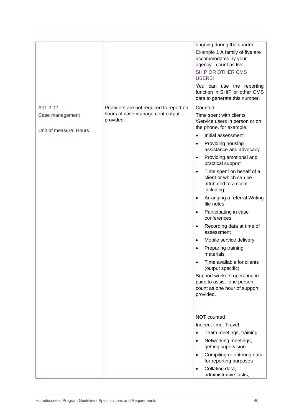|                        |                                              | ongoing during the quarter.<br>Example 1 A family of five are<br>accommodated by your<br>agency - count as five.<br>SHIP OR OTHER CMS<br><b>USERS:</b><br>You can use the reporting<br>function in SHIP or other CMS<br>data to generate this number. |
|------------------------|----------------------------------------------|-------------------------------------------------------------------------------------------------------------------------------------------------------------------------------------------------------------------------------------------------------|
| A01.2.02               | Providers are not required to report on      | Counted                                                                                                                                                                                                                                               |
| Case management        | hours of case management output<br>provided. | Time spent with clients<br>/Service users in person or on                                                                                                                                                                                             |
| Unit of measure: Hours |                                              | the phone, for example:<br>Initial assessment<br>$\bullet$                                                                                                                                                                                            |
|                        |                                              | Providing housing<br>$\bullet$<br>assistance and advocacy                                                                                                                                                                                             |
|                        |                                              | Providing emotional and<br>$\bullet$<br>practical support                                                                                                                                                                                             |
|                        |                                              | Time spent on behalf of a<br>$\bullet$<br>client or which can be<br>attributed to a client<br>including:                                                                                                                                              |
|                        |                                              | Arranging a referral Writing<br>$\bullet$<br>file notes                                                                                                                                                                                               |
|                        |                                              | Participating in case<br>$\bullet$<br>conferences                                                                                                                                                                                                     |
|                        |                                              | Recording data at time of<br>$\bullet$<br>assessment                                                                                                                                                                                                  |
|                        |                                              | Mobile service delivery<br>$\bullet$                                                                                                                                                                                                                  |
|                        |                                              | Preparing training<br>$\bullet$<br>materials                                                                                                                                                                                                          |
|                        |                                              | Time available for clients<br>$\bullet$<br>(output specific)                                                                                                                                                                                          |
|                        |                                              | Support workers operating in<br>pairs to assist one person,<br>count as one hour of support<br>provided.                                                                                                                                              |
|                        |                                              |                                                                                                                                                                                                                                                       |
|                        |                                              | <b>NOT counted</b>                                                                                                                                                                                                                                    |
|                        |                                              | Indirect time: Travel                                                                                                                                                                                                                                 |
|                        |                                              | Team meetings, training<br>$\bullet$                                                                                                                                                                                                                  |
|                        |                                              | Networking meetings,<br>$\bullet$<br>getting supervision                                                                                                                                                                                              |
|                        |                                              | Compiling or entering data<br>$\bullet$<br>for reporting purposes                                                                                                                                                                                     |
|                        |                                              | Collating data,<br>$\bullet$<br>administrative tasks,                                                                                                                                                                                                 |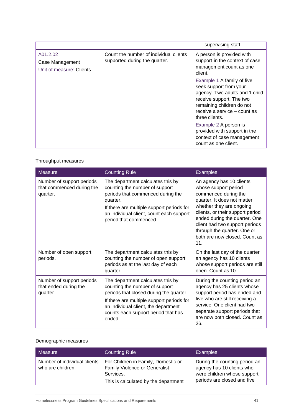|                                                         |                                                                         | supervising staff                                                                                                                                                                                                                                                                                                                                                                                                     |
|---------------------------------------------------------|-------------------------------------------------------------------------|-----------------------------------------------------------------------------------------------------------------------------------------------------------------------------------------------------------------------------------------------------------------------------------------------------------------------------------------------------------------------------------------------------------------------|
| A01.2.02<br>Case Management<br>Unit of measure: Clients | Count the number of individual clients<br>supported during the quarter. | A person is provided with<br>support in the context of case<br>management count as one<br>client.<br>Example 1 A family of five<br>seek support from your<br>agency. Two adults and 1 child<br>receive support. The two<br>remaining children do not<br>receive a service - count as<br>three clients.<br>Example 2 A person is<br>provided with support in the<br>context of case management<br>count as one client. |

# Throughput measures

| <b>Measure</b>                                                     | <b>Counting Rule</b>                                                                                                                                                                                                                                 | <b>Examples</b>                                                                                                                                                                                                                                                                                                               |  |
|--------------------------------------------------------------------|------------------------------------------------------------------------------------------------------------------------------------------------------------------------------------------------------------------------------------------------------|-------------------------------------------------------------------------------------------------------------------------------------------------------------------------------------------------------------------------------------------------------------------------------------------------------------------------------|--|
| Number of support periods<br>that commenced during the<br>quarter. | The department calculates this by<br>counting the number of support<br>periods that commenced during the<br>quarter.<br>If there are multiple support periods for<br>an individual client, count each support<br>period that commenced.              | An agency has 10 clients<br>whose support period<br>commenced during the<br>quarter. It does not matter<br>whether they are ongoing<br>clients, or their support period<br>ended during the quarter. One<br>client had two support periods<br>through the quarter. One or<br>both are now closed. Count as<br>11 <sub>1</sub> |  |
| Number of open support<br>periods.                                 | The department calculates this by<br>counting the number of open support<br>periods as at the last day of each<br>quarter.                                                                                                                           | On the last day of the quarter<br>an agency has 10 clients<br>whose support periods are still<br>open. Count as 10.                                                                                                                                                                                                           |  |
| Number of support periods<br>that ended during the<br>quarter.     | The department calculates this by<br>counting the number of support<br>periods that closed during the quarter.<br>If there are multiple support periods for<br>an individual client, the department<br>counts each support period that has<br>ended. | During the counting period an<br>agency has 25 clients whose<br>support period has ended and<br>five who are still receiving a<br>service. One client had two<br>separate support periods that<br>are now both closed. Count as<br>26.                                                                                        |  |

# Demographic measures

| Measure                                           | <b>Counting Rule</b>                                                                                                             | <b>Examples</b>                                                                                                          |
|---------------------------------------------------|----------------------------------------------------------------------------------------------------------------------------------|--------------------------------------------------------------------------------------------------------------------------|
| Number of individual clients<br>who are children. | For Children in Family, Domestic or<br><b>Family Violence or Generalist</b><br>Services.<br>This is calculated by the department | During the counting period an<br>agency has 10 clients who<br>were children whose support<br>periods are closed and five |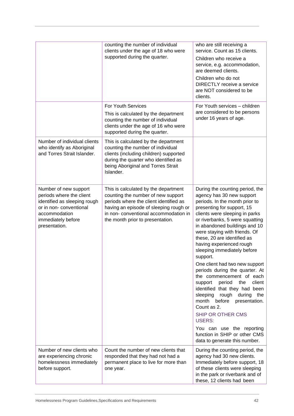|                                                                                                                                                                     | counting the number of individual<br>clients under the age of 18 who were<br>supported during the quarter.                                                                                                                                  | who are still receiving a<br>service. Count as 15 clients.<br>Children who receive a<br>service, e.g. accommodation,<br>are deemed clients.<br>Children who do not<br><b>DIRECTLY</b> receive a service<br>are NOT considered to be<br>clients.                                                                                                                                                                                                                                                                                                                                                                                                                                                                                                                       |
|---------------------------------------------------------------------------------------------------------------------------------------------------------------------|---------------------------------------------------------------------------------------------------------------------------------------------------------------------------------------------------------------------------------------------|-----------------------------------------------------------------------------------------------------------------------------------------------------------------------------------------------------------------------------------------------------------------------------------------------------------------------------------------------------------------------------------------------------------------------------------------------------------------------------------------------------------------------------------------------------------------------------------------------------------------------------------------------------------------------------------------------------------------------------------------------------------------------|
|                                                                                                                                                                     | For Youth Services<br>This is calculated by the department<br>counting the number of individual<br>clients under the age of 16 who were<br>supported during the quarter.                                                                    | For Youth services - children<br>are considered to be persons<br>under 16 years of age.                                                                                                                                                                                                                                                                                                                                                                                                                                                                                                                                                                                                                                                                               |
| Number of individual clients<br>who identify as Aboriginal<br>and Torres Strait Islander.                                                                           | This is calculated by the department<br>counting the number of individual<br>clients (including children) supported<br>during the quarter who identified as<br>being Aboriginal and Torres Strait<br>Islander.                              |                                                                                                                                                                                                                                                                                                                                                                                                                                                                                                                                                                                                                                                                                                                                                                       |
| Number of new support<br>periods where the client<br>identified as sleeping rough<br>or in non-conventional<br>accommodation<br>immediately before<br>presentation. | This is calculated by the department<br>counting the number of new support<br>periods where the client identified as<br>having an episode of sleeping rough or<br>in non- conventional accommodation in<br>the month prior to presentation. | During the counting period, the<br>agency has 30 new support<br>periods. In the month prior to<br>presenting for support, 15<br>clients were sleeping in parks<br>or riverbanks, 5 were squatting<br>in abandoned buildings and 10<br>were staying with friends. Of<br>these, 20 are identified as<br>having experienced rough<br>sleeping immediately before<br>support.<br>One client had two new support<br>periods during the quarter. At<br>the commencement of each<br>client<br>period<br>support<br>the<br>identified that they had been<br>sleeping<br>rough during the<br>month before<br>presentation.<br>Count as 2.<br>SHIP OR OTHER CMS<br><b>USERS:</b><br>You can use the reporting<br>function in SHIP or other CMS<br>data to generate this number. |
| Number of new clients who<br>are experiencing chronic<br>homelessness immediately<br>before support.                                                                | Count the number of new clients that<br>responded that they had not had a<br>permanent place to live for more than<br>one year.                                                                                                             | During the counting period, the<br>agency had 30 new clients.<br>Immediately before support, 18<br>of these clients were sleeping<br>in the park or riverbank and of<br>these, 12 clients had been                                                                                                                                                                                                                                                                                                                                                                                                                                                                                                                                                                    |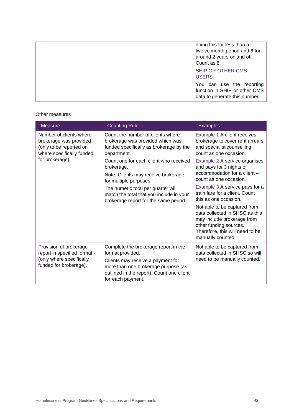|  | doing this for less than a<br>twelve month period and 6 for<br>around 2 years on and off.<br>Count as 6. |
|--|----------------------------------------------------------------------------------------------------------|
|  | SHIP OR OTHER CMS<br>USERS:                                                                              |
|  | You can use the reporting<br>function in SHIP or other CMS<br>data to generate this number.              |

#### Other measures

| <b>Measure</b>                                                                                                               | <b>Counting Rule</b>                                                                                                                                                                                                                                                                                                                                                                | <b>Examples</b>                                                                                                                                                                                                                                                                                                                           |
|------------------------------------------------------------------------------------------------------------------------------|-------------------------------------------------------------------------------------------------------------------------------------------------------------------------------------------------------------------------------------------------------------------------------------------------------------------------------------------------------------------------------------|-------------------------------------------------------------------------------------------------------------------------------------------------------------------------------------------------------------------------------------------------------------------------------------------------------------------------------------------|
| Number of clients where<br>brokerage was provided<br>(only to be reported on<br>where specifically funded<br>for brokerage). | Count the number of clients where<br>brokerage was provided which was<br>funded specifically as brokerage by the<br>department.<br>Count one for each client who received<br>brokerage.<br>Note: Clients may receive brokerage<br>for multiple purposes.<br>The numeric total per quarter will<br>match the total that you include in your<br>brokerage report for the same period. | Example 1 A client receives<br>brokerage to cover rent arrears<br>and specialist counselling<br>count as one occasion.<br>Example 2 A service organises<br>and pays for 3 nights of<br>accommodation for a client-<br>count as one occasion.<br>Example 3 A service pays for a<br>train fare for a client. Count<br>this as one occasion. |
|                                                                                                                              |                                                                                                                                                                                                                                                                                                                                                                                     | Not able to be captured from<br>data collected in SHSC as this<br>may include brokerage from<br>other funding sources.<br>Therefore, this will need to be<br>manually counted.                                                                                                                                                            |
| Provision of brokerage<br>report in specified format -<br>(only where specifically<br>funded for brokerage).                 | Complete the brokerage report in the<br>format provided.<br>Clients may receive a payment for<br>more than one brokerage purpose (as<br>outlined in the report). Count one client<br>for each payment.                                                                                                                                                                              | Not able to be captured from<br>data collected in SHSC so will<br>need to be manually counted.                                                                                                                                                                                                                                            |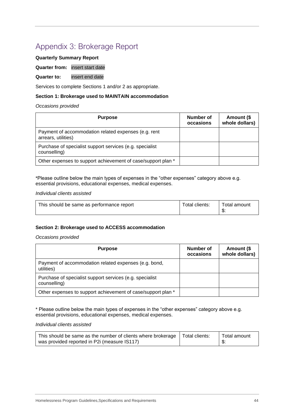# <span id="page-43-0"></span>Appendix 3: Brokerage Report

#### **Quarterly Summary Report**

#### **Quarter from:** insert start date

#### **Quarter to:** insert end date

Services to complete Sections 1 and/or 2 as appropriate.

#### **Section 1: Brokerage used to MAINTAIN accommodation**

#### *Occasions provided*

| <b>Purpose</b>                                                              | Number of<br>occasions | Amount (\$<br>whole dollars) |
|-----------------------------------------------------------------------------|------------------------|------------------------------|
| Payment of accommodation related expenses (e.g. rent<br>arrears, utilities) |                        |                              |
| Purchase of specialist support services (e.g. specialist<br>counselling)    |                        |                              |
| Other expenses to support achievement of case/support plan *                |                        |                              |

\*Please outline below the main types of expenses in the "other expenses" category above e.g. essential provisions, educational expenses, medical expenses.

#### *Individual clients assisted*

| This should be same as performance report | Total clients: | Total amount |
|-------------------------------------------|----------------|--------------|
|                                           |                |              |

#### **Section 2: Brokerage used to ACCESS accommodation**

*Occasions provided*

| <b>Purpose</b>                                                           | Number of<br>occasions | Amount (\$<br>whole dollars) |
|--------------------------------------------------------------------------|------------------------|------------------------------|
| Payment of accommodation related expenses (e.g. bond,<br>utilities)      |                        |                              |
| Purchase of specialist support services (e.g. specialist<br>counselling) |                        |                              |
| Other expenses to support achievement of case/support plan *             |                        |                              |

\* Please outline below the main types of expenses in the "other expenses" category above e.g. essential provisions, educational expenses, medical expenses.

#### *Individual clients assisted*

| This should be same as the number of clients where brokerage   Total clients: | Total amount |
|-------------------------------------------------------------------------------|--------------|
| was provided reported in P2i (measure IS117)                                  |              |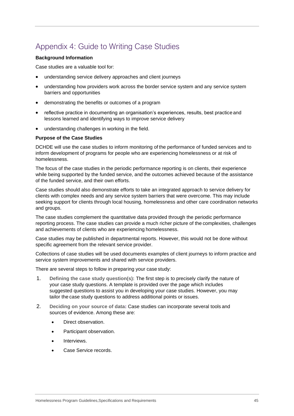# <span id="page-44-0"></span>Appendix 4: Guide to Writing Case Studies

#### **Background Information**

Case studies are a valuable tool for:

- understanding service delivery approaches and client journeys
- understanding how providers work across the border service system and any service system barriers and opportunities
- demonstrating the benefits or outcomes of a program
- reflective practice in documenting an organisation's experiences, results, best practice and lessons learned and identifying ways to improve service delivery
- understanding challenges in working in the field.

#### **Purpose of the Case Studies**

DCHDE will use the case studies to inform monitoring of the performance of funded services and to inform development of programs for people who are experiencing homelessness or at risk of homelessness.

The focus of the case studies in the periodic performance reporting is on clients, their experience while being supported by the funded service, and the outcomes achieved because of the assistance of the funded service, and their own efforts.

Case studies should also demonstrate efforts to take an integrated approach to service delivery for clients with complex needs and any service system barriers that were overcome. This may include seeking support for clients through local housing, homelessness and other care coordination networks and groups.

The case studies complement the quantitative data provided through the periodic performance reporting process. The case studies can provide a much richer picture of the complexities, challenges and achievements of clients who are experiencing homelessness.

Case studies may be published in departmental reports. However, this would not be done without specific agreement from the relevant service provider.

Collections of case studies will be used documents examples of client journeys to inform practice and service system improvements and shared with service providers.

There are several steps to follow in preparing your case study:

- 1. **Defining the case study question(s):** The first step is to precisely clarify the nature of your case study questions. A template is provided over the page which includes suggested questions to assist you in developing your case studies. However, you may tailor the case study questions to address additional points or issues.
- 2. **Deciding on your source of data:** Case studies can incorporate several tools and sources of evidence. Among these are:
	- Direct observation.
	- Participant observation.
	- Interviews.
	- Case Service records.